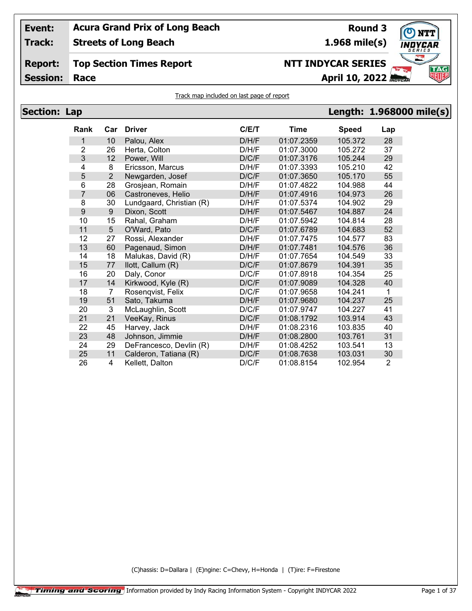**Track: Streets of Long Beach**

**Round 3 1.968 mile(s)**

# **Top Section Times Report**

**Session:**

## **NTT INDYCAR SERIES**

**Race April 10, 2022** 

## Track map included on last page of report

| <b>Section: Lap</b> |                  |                |                          |       |             |              | Length: 1.968000 mile(s) |  |
|---------------------|------------------|----------------|--------------------------|-------|-------------|--------------|--------------------------|--|
|                     | Rank             | Car            | <b>Driver</b>            | C/E/T | <b>Time</b> | <b>Speed</b> | Lap                      |  |
|                     | 1                | 10             | Palou, Alex              | D/H/F | 01:07.2359  | 105.372      | 28                       |  |
|                     | 2                | 26             | Herta, Colton            | D/H/F | 01:07.3000  | 105.272      | 37                       |  |
|                     | 3                | 12             | Power, Will              | D/C/F | 01:07.3176  | 105.244      | 29                       |  |
|                     | 4                | 8              | Ericsson, Marcus         | D/H/F | 01:07.3393  | 105.210      | 42                       |  |
|                     | 5                | $\overline{2}$ | Newgarden, Josef         | D/C/F | 01:07.3650  | 105.170      | 55                       |  |
|                     | 6                | 28             | Grosjean, Romain         | D/H/F | 01:07.4822  | 104.988      | 44                       |  |
|                     | 7                | 06             | Castroneves, Helio       | D/H/F | 01:07.4916  | 104.973      | 26                       |  |
|                     | 8                | 30             | Lundgaard, Christian (R) | D/H/F | 01:07.5374  | 104.902      | 29                       |  |
|                     | $\boldsymbol{9}$ | 9              | Dixon, Scott             | D/H/F | 01:07.5467  | 104.887      | 24                       |  |
|                     | 10               | 15             | Rahal, Graham            | D/H/F | 01:07.5942  | 104.814      | 28                       |  |
|                     | 11               | 5              | O'Ward, Pato             | D/C/F | 01:07.6789  | 104.683      | 52                       |  |
|                     | 12               | 27             | Rossi, Alexander         | D/H/F | 01:07.7475  | 104.577      | 83                       |  |
|                     | 13               | 60             | Pagenaud, Simon          | D/H/F | 01:07.7481  | 104.576      | 36                       |  |
|                     | 14               | 18             | Malukas, David (R)       | D/H/F | 01:07.7654  | 104.549      | 33                       |  |
|                     | 15               | 77             | llott, Callum (R)        | D/C/F | 01:07.8679  | 104.391      | 35                       |  |
|                     | 16               | 20             | Daly, Conor              | D/C/F | 01:07.8918  | 104.354      | 25                       |  |
|                     | 17               | 14             | Kirkwood, Kyle (R)       | D/C/F | 01:07.9089  | 104.328      | 40                       |  |
|                     | 18               | 7              | Rosenqvist, Felix        | D/C/F | 01:07.9658  | 104.241      | 1                        |  |
|                     | 19               | 51             | Sato, Takuma             | D/H/F | 01:07.9680  | 104.237      | 25                       |  |
|                     | 20               | 3              | McLaughlin, Scott        | D/C/F | 01:07.9747  | 104.227      | 41                       |  |
|                     | 21               | 21             | VeeKay, Rinus            | D/C/F | 01:08.1792  | 103.914      | 43                       |  |
|                     | 22               | 45             | Harvey, Jack             | D/H/F | 01:08.2316  | 103.835      | 40                       |  |
|                     | 23               | 48             | Johnson, Jimmie          | D/H/F | 01:08.2800  | 103.761      | 31                       |  |
|                     | 24               | 29             | DeFrancesco, Devlin (R)  | D/H/F | 01:08.4252  | 103.541      | 13                       |  |
|                     | 25               | 11             | Calderon, Tatiana (R)    | D/C/F | 01:08.7638  | 103.031      | 30                       |  |
|                     | 26               | 4              | Kellett, Dalton          | D/C/F | 01:08.8154  | 102.954      | 2                        |  |

(C)hassis: D=Dallara | (E)ngine: C=Chevy, H=Honda | (T)ire: F=Firestone



**Report:**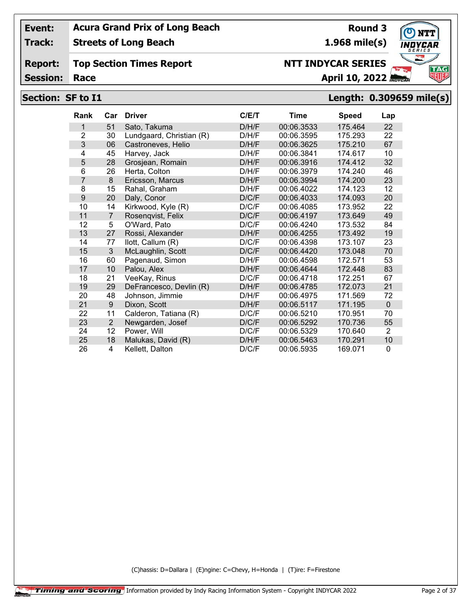**Track: Streets of Long Beach**

#### **Report: Top Section Times Report**

**Session:**

## **Section: SF to I1 Length: 0.309659 mile(s)**

| <b>Rank</b>    | Car            | <b>Driver</b>            | C/E/T | <b>Time</b> | <b>Speed</b> | Lap          |
|----------------|----------------|--------------------------|-------|-------------|--------------|--------------|
| 1              | 51             | Sato, Takuma             | D/H/F | 00:06.3533  | 175.464      | 22           |
| $\overline{2}$ | 30             | Lundgaard, Christian (R) | D/H/F | 00:06.3595  | 175.293      | 22           |
| 3              | 06             | Castroneves, Helio       | D/H/F | 00:06.3625  | 175.210      | 67           |
| 4              | 45             | Harvey, Jack             | D/H/F | 00:06.3841  | 174.617      | 10           |
| 5              | 28             | Grosjean, Romain         | D/H/F | 00:06.3916  | 174.412      | 32           |
| 6              | 26             | Herta, Colton            | D/H/F | 00:06.3979  | 174.240      | 46           |
| $\overline{7}$ | 8              | Ericsson, Marcus         | D/H/F | 00:06.3994  | 174.200      | 23           |
| 8              | 15             | Rahal, Graham            | D/H/F | 00:06.4022  | 174.123      | 12           |
| 9              | 20             | Daly, Conor              | D/C/F | 00:06.4033  | 174.093      | 20           |
| 10             | 14             | Kirkwood, Kyle (R)       | D/C/F | 00:06.4085  | 173.952      | 22           |
| 11             | $\overline{7}$ | Rosenqvist, Felix        | D/C/F | 00:06.4197  | 173.649      | 49           |
| 12             | 5              | O'Ward, Pato             | D/C/F | 00:06.4240  | 173.532      | 84           |
| 13             | 27             | Rossi, Alexander         | D/H/F | 00:06.4255  | 173.492      | 19           |
| 14             | 77             | llott, Callum (R)        | D/C/F | 00:06.4398  | 173.107      | 23           |
| 15             | 3              | McLaughlin, Scott        | D/C/F | 00:06.4420  | 173.048      | 70           |
| 16             | 60             | Pagenaud, Simon          | D/H/F | 00:06.4598  | 172.571      | 53           |
| 17             | 10             | Palou, Alex              | D/H/F | 00:06.4644  | 172.448      | 83           |
| 18             | 21             | VeeKay, Rinus            | D/C/F | 00:06.4718  | 172.251      | 67           |
| 19             | 29             | DeFrancesco, Devlin (R)  | D/H/F | 00:06.4785  | 172.073      | 21           |
| 20             | 48             | Johnson, Jimmie          | D/H/F | 00:06.4975  | 171.569      | 72           |
| 21             | 9              | Dixon, Scott             | D/H/F | 00:06.5117  | 171.195      | $\mathbf{0}$ |
| 22             | 11             | Calderon, Tatiana (R)    | D/C/F | 00:06.5210  | 170.951      | 70           |
| 23             | $\overline{2}$ | Newgarden, Josef         | D/C/F | 00:06.5292  | 170.736      | 55           |
| 24             | 12             | Power, Will              | D/C/F | 00:06.5329  | 170.640      | 2            |
| 25             | 18             | Malukas, David (R)       | D/H/F | 00:06.5463  | 170.291      | 10           |
| 26             | 4              | Kellett, Dalton          | D/C/F | 00:06.5935  | 169.071      | $\mathbf{0}$ |

(C)hassis: D=Dallara | (E)ngine: C=Chevy, H=Honda | (T)ire: F=Firestone



**1.968 mile(s)**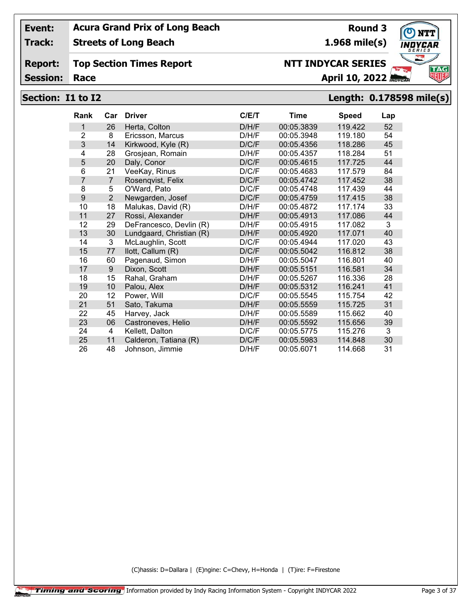**Track: Streets of Long Beach**

#### **Report: Top Section Times Report**

**Session:**

# **Section: I1 to I2 Length: 0.178598 mile(s)**

| <b>Rank</b>    | Car            | <b>Driver</b>            | C/ET  | <b>Time</b> | <b>Speed</b> | Lap |
|----------------|----------------|--------------------------|-------|-------------|--------------|-----|
| 1              | 26             | Herta, Colton            | D/H/F | 00:05.3839  | 119.422      | 52  |
| 2              | 8              | Ericsson, Marcus         | D/H/F | 00:05.3948  | 119.180      | 54  |
| 3              | 14             | Kirkwood, Kyle (R)       | D/C/F | 00:05.4356  | 118.286      | 45  |
| 4              | 28             | Grosjean, Romain         | D/H/F | 00:05.4357  | 118.284      | 51  |
| 5              | 20             | Daly, Conor              | D/C/F | 00:05.4615  | 117.725      | 44  |
| 6              | 21             | VeeKay, Rinus            | D/C/F | 00:05.4683  | 117.579      | 84  |
| $\overline{7}$ | $\overline{7}$ | Rosenqvist, Felix        | D/C/F | 00:05.4742  | 117.452      | 38  |
| 8              | 5              | O'Ward, Pato             | D/C/F | 00:05.4748  | 117.439      | 44  |
| 9              | 2              | Newgarden, Josef         | D/C/F | 00:05.4759  | 117.415      | 38  |
| 10             | 18             | Malukas, David (R)       | D/H/F | 00:05.4872  | 117.174      | 33  |
| 11             | 27             | Rossi, Alexander         | D/H/F | 00:05.4913  | 117.086      | 44  |
| 12             | 29             | DeFrancesco, Devlin (R)  | D/H/F | 00:05.4915  | 117.082      | 3   |
| 13             | 30             | Lundgaard, Christian (R) | D/H/F | 00:05.4920  | 117.071      | 40  |
| 14             | 3              | McLaughlin, Scott        | D/C/F | 00:05.4944  | 117.020      | 43  |
| 15             | 77             | llott, Callum (R)        | D/C/F | 00:05.5042  | 116.812      | 38  |
| 16             | 60             | Pagenaud, Simon          | D/H/F | 00:05.5047  | 116.801      | 40  |
| 17             | 9              | Dixon, Scott             | D/H/F | 00:05.5151  | 116.581      | 34  |
| 18             | 15             | Rahal, Graham            | D/H/F | 00:05.5267  | 116.336      | 28  |
| 19             | 10             | Palou, Alex              | D/H/F | 00:05.5312  | 116.241      | 41  |
| 20             | 12             | Power, Will              | D/C/F | 00:05.5545  | 115.754      | 42  |
| 21             | 51             | Sato, Takuma             | D/H/F | 00:05.5559  | 115.725      | 31  |
| 22             | 45             | Harvey, Jack             | D/H/F | 00:05.5589  | 115.662      | 40  |
| 23             | 06             | Castroneves, Helio       | D/H/F | 00:05.5592  | 115.656      | 39  |
| 24             | 4              | Kellett, Dalton          | D/C/F | 00:05.5775  | 115.276      | 3   |
| 25             | 11             | Calderon, Tatiana (R)    | D/C/F | 00:05.5983  | 114.848      | 30  |
| 26             | 48             | Johnson, Jimmie          | D/H/F | 00:05.6071  | 114.668      | 31  |

(C)hassis: D=Dallara | (E)ngine: C=Chevy, H=Honda | (T)ire: F=Firestone



**Round 3 1.968 mile(s)**

**Race April 10, 2022**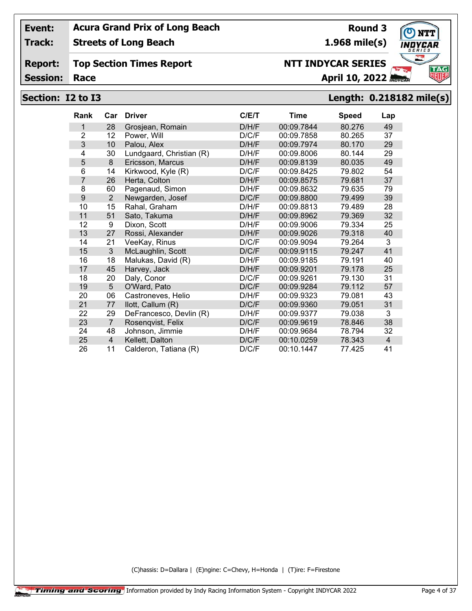**Track: Streets of Long Beach**

#### **Report: Top Section Times Report**

**Session:**

## **Section: I2 to I3 Length: 0.218182 mile(s)**

| <b>Rank</b>    | Car             | <b>Driver</b>            | C/ET  | Time       | <b>Speed</b> | Lap |
|----------------|-----------------|--------------------------|-------|------------|--------------|-----|
| 1              | 28              | Grosjean, Romain         | D/H/F | 00:09.7844 | 80.276       | 49  |
| $\overline{2}$ | 12              | Power, Will              | D/C/F | 00:09.7858 | 80.265       | 37  |
| 3              | 10              | Palou, Alex              | D/H/F | 00:09.7974 | 80.170       | 29  |
| 4              | 30              | Lundgaard, Christian (R) | D/H/F | 00:09.8006 | 80.144       | 29  |
| 5              | 8               | Ericsson, Marcus         | D/H/F | 00:09.8139 | 80.035       | 49  |
| 6              | 14              | Kirkwood, Kyle (R)       | D/C/F | 00:09.8425 | 79.802       | 54  |
| 7              | 26              | Herta, Colton            | D/H/F | 00:09.8575 | 79.681       | 37  |
| 8              | 60              | Pagenaud, Simon          | D/H/F | 00:09.8632 | 79.635       | 79  |
| 9              | $\overline{2}$  | Newgarden, Josef         | D/C/F | 00:09.8800 | 79.499       | 39  |
| 10             | 15              | Rahal, Graham            | D/H/F | 00:09.8813 | 79.489       | 28  |
| 11             | 51              | Sato, Takuma             | D/H/F | 00:09.8962 | 79.369       | 32  |
| 12             | 9               | Dixon, Scott             | D/H/F | 00:09.9006 | 79.334       | 25  |
| 13             | 27              | Rossi, Alexander         | D/H/F | 00:09.9026 | 79.318       | 40  |
| 14             | 21              | VeeKay, Rinus            | D/C/F | 00:09.9094 | 79.264       | 3   |
| 15             | 3               | McLaughlin, Scott        | D/C/F | 00:09.9115 | 79.247       | 41  |
| 16             | 18              | Malukas, David (R)       | D/H/F | 00:09.9185 | 79.191       | 40  |
| 17             | 45              | Harvey, Jack             | D/H/F | 00:09.9201 | 79.178       | 25  |
| 18             | 20              | Daly, Conor              | D/C/F | 00:09.9261 | 79.130       | 31  |
| 19             | $5\phantom{.0}$ | O'Ward, Pato             | D/C/F | 00:09.9284 | 79.112       | 57  |
| 20             | 06              | Castroneves, Helio       | D/H/F | 00:09.9323 | 79.081       | 43  |
| 21             | 77              | llott, Callum (R)        | D/C/F | 00:09.9360 | 79.051       | 31  |
| 22             | 29              | DeFrancesco, Devlin (R)  | D/H/F | 00:09.9377 | 79.038       | 3   |
| 23             | $\overline{7}$  | Rosenqvist, Felix        | D/C/F | 00:09.9619 | 78.846       | 38  |
| 24             | 48              | Johnson, Jimmie          | D/H/F | 00:09.9684 | 78.794       | 32  |
| 25             | $\overline{4}$  | Kellett, Dalton          | D/C/F | 00:10.0259 | 78.343       | 4   |
| 26             | 11              | Calderon, Tatiana (R)    | D/C/F | 00:10.1447 | 77.425       | 41  |

(C)hassis: D=Dallara | (E)ngine: C=Chevy, H=Honda | (T)ire: F=Firestone



**Round 3 1.968 mile(s)**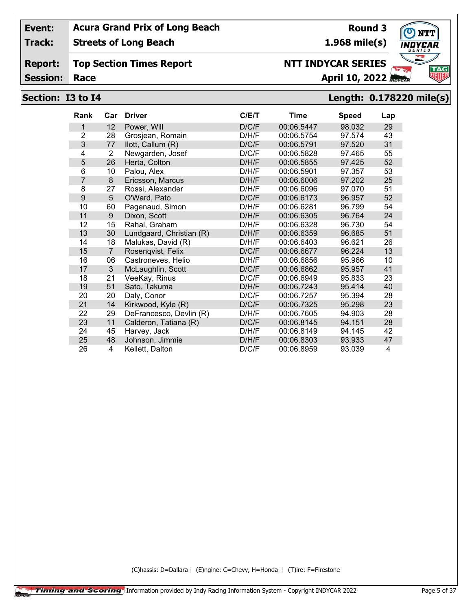**Track: Streets of Long Beach**

#### **Report: Top Section Times Report**

**Session:**

## **Section: I3 to I4 Length: 0.178220 mile(s)**

| Rank           | Car            | <b>Driver</b>            | C/ET  | Time       | <b>Speed</b> | Lap |
|----------------|----------------|--------------------------|-------|------------|--------------|-----|
| 1              | 12             | Power, Will              | D/C/F | 00:06.5447 | 98.032       | 29  |
| $\overline{2}$ | 28             | Grosjean, Romain         | D/H/F | 00:06.5754 | 97.574       | 43  |
| 3              | 77             | llott, Callum (R)        | D/C/F | 00:06.5791 | 97.520       | 31  |
| 4              | $\overline{2}$ | Newgarden, Josef         | D/C/F | 00:06.5828 | 97.465       | 55  |
| 5              | 26             | Herta, Colton            | D/H/F | 00:06.5855 | 97.425       | 52  |
| 6              | 10             | Palou, Alex              | D/H/F | 00:06.5901 | 97.357       | 53  |
| $\overline{7}$ | 8              | Ericsson, Marcus         | D/H/F | 00:06.6006 | 97.202       | 25  |
| 8              | 27             | Rossi, Alexander         | D/H/F | 00:06.6096 | 97.070       | 51  |
| 9              | 5              | O'Ward, Pato             | D/C/F | 00:06.6173 | 96.957       | 52  |
| 10             | 60             | Pagenaud, Simon          | D/H/F | 00:06.6281 | 96.799       | 54  |
| 11             | 9              | Dixon, Scott             | D/H/F | 00:06.6305 | 96.764       | 24  |
| 12             | 15             | Rahal, Graham            | D/H/F | 00:06.6328 | 96.730       | 54  |
| 13             | 30             | Lundgaard, Christian (R) | D/H/F | 00:06.6359 | 96.685       | 51  |
| 14             | 18             | Malukas, David (R)       | D/H/F | 00:06.6403 | 96.621       | 26  |
| 15             | $\overline{7}$ | Rosenqvist, Felix        | D/C/F | 00:06.6677 | 96.224       | 13  |
| 16             | 06             | Castroneves, Helio       | D/H/F | 00:06.6856 | 95.966       | 10  |
| 17             | 3              | McLaughlin, Scott        | D/C/F | 00:06.6862 | 95.957       | 41  |
| 18             | 21             | VeeKay, Rinus            | D/C/F | 00:06.6949 | 95.833       | 23  |
| 19             | 51             | Sato, Takuma             | D/H/F | 00:06.7243 | 95.414       | 40  |
| 20             | 20             | Daly, Conor              | D/C/F | 00:06.7257 | 95.394       | 28  |
| 21             | 14             | Kirkwood, Kyle (R)       | D/C/F | 00:06.7325 | 95.298       | 23  |
| 22             | 29             | DeFrancesco, Devlin (R)  | D/H/F | 00:06.7605 | 94.903       | 28  |
| 23             | 11             | Calderon, Tatiana (R)    | D/C/F | 00:06.8145 | 94.151       | 28  |
| 24             | 45             | Harvey, Jack             | D/H/F | 00:06.8149 | 94.145       | 42  |
| 25             | 48             | Johnson, Jimmie          | D/H/F | 00:06.8303 | 93.933       | 47  |
| 26             | 4              | Kellett, Dalton          | D/C/F | 00:06.8959 | 93.039       | 4   |

(C)hassis: D=Dallara | (E)ngine: C=Chevy, H=Honda | (T)ire: F=Firestone



**1.968 mile(s)**

**NTT INDYCAR SERIES**

**Round 3**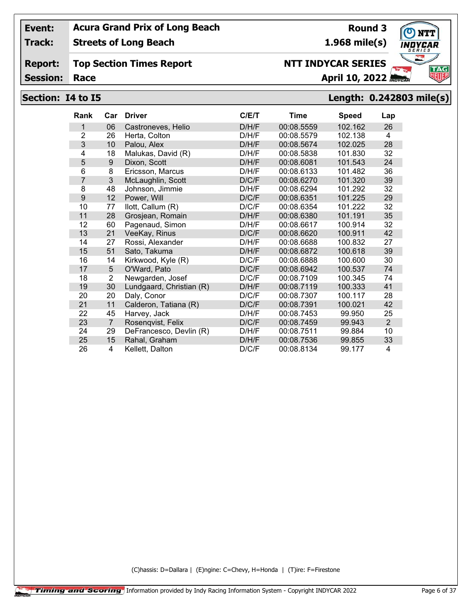**Track: Streets of Long Beach**

#### **Report: Top Section Times Report**

**Session:**

# **Section: I4 to I5 Length: 0.242803 mile(s)**

| <b>Rank</b>    | Car            | <b>Driver</b>            | C/E/T | <b>Time</b> | Speed   | Lap            |
|----------------|----------------|--------------------------|-------|-------------|---------|----------------|
| 1              | 06             | Castroneves, Helio       | D/H/F | 00:08.5559  | 102.162 | 26             |
| $\overline{2}$ | 26             | Herta, Colton            | D/H/F | 00:08.5579  | 102.138 | 4              |
| 3              | 10             | Palou, Alex              | D/H/F | 00:08.5674  | 102.025 | 28             |
| 4              | 18             | Malukas, David (R)       | D/H/F | 00:08.5838  | 101.830 | 32             |
| 5              | 9              | Dixon, Scott             | D/H/F | 00:08.6081  | 101.543 | 24             |
| 6              | 8              | Ericsson, Marcus         | D/H/F | 00:08.6133  | 101.482 | 36             |
| 7              | 3              | McLaughlin, Scott        | D/C/F | 00:08.6270  | 101.320 | 39             |
| 8              | 48             | Johnson, Jimmie          | D/H/F | 00:08.6294  | 101.292 | 32             |
| 9              | 12             | Power, Will              | D/C/F | 00:08.6351  | 101.225 | 29             |
| 10             | 77             | llott, Callum (R)        | D/C/F | 00:08.6354  | 101.222 | 32             |
| 11             | 28             | Grosjean, Romain         | D/H/F | 00:08.6380  | 101.191 | 35             |
| 12             | 60             | Pagenaud, Simon          | D/H/F | 00:08.6617  | 100.914 | 32             |
| 13             | 21             | VeeKay, Rinus            | D/C/F | 00:08.6620  | 100.911 | 42             |
| 14             | 27             | Rossi, Alexander         | D/H/F | 00:08.6688  | 100.832 | 27             |
| 15             | 51             | Sato, Takuma             | D/H/F | 00:08.6872  | 100.618 | 39             |
| 16             | 14             | Kirkwood, Kyle (R)       | D/C/F | 00:08.6888  | 100.600 | 30             |
| 17             | 5              | O'Ward, Pato             | D/C/F | 00:08.6942  | 100.537 | 74             |
| 18             | $\overline{2}$ | Newgarden, Josef         | D/C/F | 00:08.7109  | 100.345 | 74             |
| 19             | 30             | Lundgaard, Christian (R) | D/H/F | 00:08.7119  | 100.333 | 41             |
| 20             | 20             | Daly, Conor              | D/C/F | 00:08.7307  | 100.117 | 28             |
| 21             | 11             | Calderon, Tatiana (R)    | D/C/F | 00:08.7391  | 100.021 | 42             |
| 22             | 45             | Harvey, Jack             | D/H/F | 00:08.7453  | 99.950  | 25             |
| 23             | $\overline{7}$ | Rosenqvist, Felix        | D/C/F | 00:08.7459  | 99.943  | $\overline{2}$ |
| 24             | 29             | DeFrancesco, Devlin (R)  | D/H/F | 00:08.7511  | 99.884  | 10             |
| 25             | 15             | Rahal, Graham            | D/H/F | 00:08.7536  | 99.855  | 33             |
| 26             | 4              | Kellett, Dalton          | D/C/F | 00:08.8134  | 99.177  | 4              |

(C)hassis: D=Dallara | (E)ngine: C=Chevy, H=Honda | (T)ire: F=Firestone



**1.968 mile(s)**

**NTT INDYCAR SERIES**

**Round 3**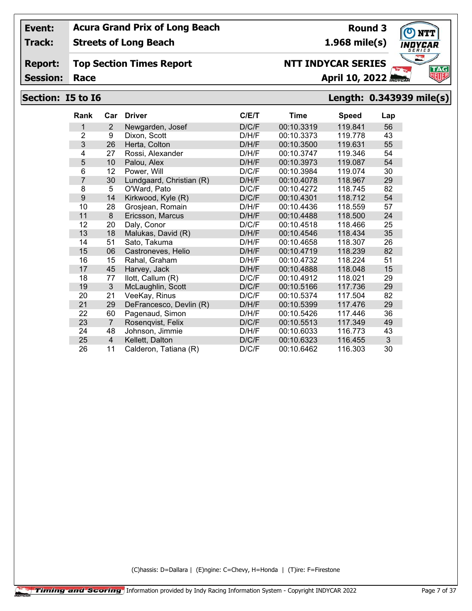**Track: Streets of Long Beach**

#### **Report: Top Section Times Report**

**Session:**

## **Race April 10, 2022**

## **Section: I5 to I6 Length: 0.343939 mile(s)**

| <b>Rank</b>    | Car            | <b>Driver</b>            | C/ET  | Time       | <b>Speed</b> | Lap |
|----------------|----------------|--------------------------|-------|------------|--------------|-----|
| 1              | $\overline{2}$ | Newgarden, Josef         | D/C/F | 00:10.3319 | 119.841      | 56  |
| $\overline{2}$ | 9              | Dixon, Scott             | D/H/F | 00:10.3373 | 119.778      | 43  |
| 3              | 26             | Herta, Colton            | D/H/F | 00:10.3500 | 119.631      | 55  |
| 4              | 27             | Rossi, Alexander         | D/H/F | 00:10.3747 | 119.346      | 54  |
| 5              | 10             | Palou, Alex              | D/H/F | 00:10.3973 | 119.087      | 54  |
| 6              | 12             | Power, Will              | D/C/F | 00:10.3984 | 119.074      | 30  |
| 7              | 30             | Lundgaard, Christian (R) | D/H/F | 00:10.4078 | 118.967      | 29  |
| 8              | 5              | O'Ward, Pato             | D/C/F | 00:10.4272 | 118.745      | 82  |
| 9              | 14             | Kirkwood, Kyle (R)       | D/C/F | 00:10.4301 | 118.712      | 54  |
| 10             | 28             | Grosjean, Romain         | D/H/F | 00:10.4436 | 118.559      | 57  |
| 11             | 8              | Ericsson, Marcus         | D/H/F | 00:10.4488 | 118.500      | 24  |
| 12             | 20             | Daly, Conor              | D/C/F | 00:10.4518 | 118.466      | 25  |
| 13             | 18             | Malukas, David (R)       | D/H/F | 00:10.4546 | 118.434      | 35  |
| 14             | 51             | Sato, Takuma             | D/H/F | 00:10.4658 | 118.307      | 26  |
| 15             | 06             | Castroneves, Helio       | D/H/F | 00:10.4719 | 118.239      | 82  |
| 16             | 15             | Rahal, Graham            | D/H/F | 00:10.4732 | 118.224      | 51  |
| 17             | 45             | Harvey, Jack             | D/H/F | 00:10.4888 | 118.048      | 15  |
| 18             | 77             | llott, Callum (R)        | D/C/F | 00:10.4912 | 118.021      | 29  |
| 19             | 3              | McLaughlin, Scott        | D/C/F | 00:10.5166 | 117.736      | 29  |
| 20             | 21             | VeeKay, Rinus            | D/C/F | 00:10.5374 | 117.504      | 82  |
| 21             | 29             | DeFrancesco, Devlin (R)  | D/H/F | 00:10.5399 | 117.476      | 29  |
| 22             | 60             | Pagenaud, Simon          | D/H/F | 00:10.5426 | 117.446      | 36  |
| 23             | $\overline{7}$ | Rosenqvist, Felix        | D/C/F | 00:10.5513 | 117.349      | 49  |
| 24             | 48             | Johnson, Jimmie          | D/H/F | 00:10.6033 | 116.773      | 43  |
| 25             | $\overline{4}$ | Kellett, Dalton          | D/C/F | 00:10.6323 | 116.455      | 3   |
| 26             | 11             | Calderon, Tatiana (R)    | D/C/F | 00:10.6462 | 116.303      | 30  |

(C)hassis: D=Dallara | (E)ngine: C=Chevy, H=Honda | (T)ire: F=Firestone



## **Round 3**

**1.968 mile(s)**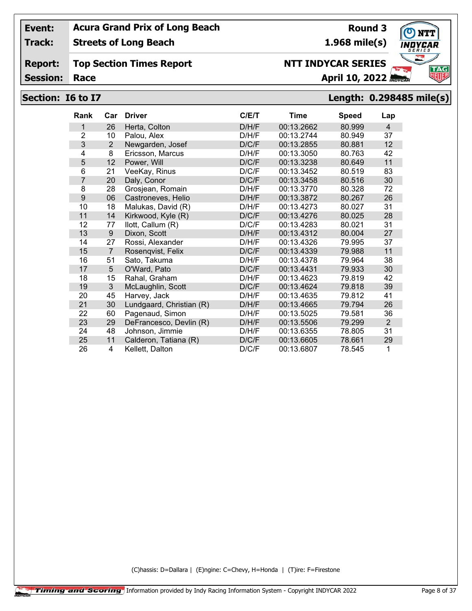**Track: Streets of Long Beach**

#### **Report: Top Section Times Report**

**Session:**

## **Race April 10, 2022**

**Round 3**

**1.968 mile(s)**

**NTT INDYCAR SERIES**

## **Section: I6 to I7 Length: 0.298485 mile(s)**

| Rank           | Car            | <b>Driver</b>            | C/E/T | <b>Time</b> | <b>Speed</b> | Lap            |
|----------------|----------------|--------------------------|-------|-------------|--------------|----------------|
| 1              | 26             | Herta, Colton            | D/H/F | 00:13.2662  | 80.999       | $\overline{4}$ |
| $\overline{2}$ | 10             | Palou, Alex              | D/H/F | 00:13.2744  | 80.949       | 37             |
| 3              | $\overline{2}$ | Newgarden, Josef         | D/C/F | 00:13.2855  | 80.881       | 12             |
| 4              | 8              | Ericsson, Marcus         | D/H/F | 00:13.3050  | 80.763       | 42             |
| 5              | 12             | Power, Will              | D/C/F | 00:13.3238  | 80.649       | 11             |
| 6              | 21             | VeeKay, Rinus            | D/C/F | 00:13.3452  | 80.519       | 83             |
| 7              | 20             | Daly, Conor              | D/C/F | 00:13.3458  | 80.516       | 30             |
| 8              | 28             | Grosjean, Romain         | D/H/F | 00:13.3770  | 80.328       | 72             |
| 9              | 06             | Castroneves, Helio       | D/H/F | 00:13.3872  | 80.267       | 26             |
| 10             | 18             | Malukas, David (R)       | D/H/F | 00:13.4273  | 80.027       | 31             |
| 11             | 14             | Kirkwood, Kyle (R)       | D/C/F | 00:13.4276  | 80.025       | 28             |
| 12             | 77             | llott, Callum (R)        | D/C/F | 00:13.4283  | 80.021       | 31             |
| 13             | 9              | Dixon, Scott             | D/H/F | 00:13.4312  | 80.004       | 27             |
| 14             | 27             | Rossi, Alexander         | D/H/F | 00:13.4326  | 79.995       | 37             |
| 15             | $\overline{7}$ | Rosenqvist, Felix        | D/C/F | 00:13.4339  | 79.988       | 11             |
| 16             | 51             | Sato, Takuma             | D/H/F | 00:13.4378  | 79.964       | 38             |
| 17             | 5              | O'Ward, Pato             | D/C/F | 00:13.4431  | 79.933       | 30             |
| 18             | 15             | Rahal, Graham            | D/H/F | 00:13.4623  | 79.819       | 42             |
| 19             | 3              | McLaughlin, Scott        | D/C/F | 00:13.4624  | 79.818       | 39             |
| 20             | 45             | Harvey, Jack             | D/H/F | 00:13.4635  | 79.812       | 41             |
| 21             | 30             | Lundgaard, Christian (R) | D/H/F | 00:13.4665  | 79.794       | 26             |
| 22             | 60             | Pagenaud, Simon          | D/H/F | 00:13.5025  | 79.581       | 36             |
| 23             | 29             | DeFrancesco, Devlin (R)  | D/H/F | 00:13.5506  | 79.299       | $\overline{2}$ |
| 24             | 48             | Johnson, Jimmie          | D/H/F | 00:13.6355  | 78.805       | 31             |
| 25             | 11             | Calderon, Tatiana (R)    | D/C/F | 00:13.6605  | 78.661       | 29             |
| 26             | 4              | Kellett, Dalton          | D/C/F | 00:13.6807  | 78.545       | 1              |

(C)hassis: D=Dallara | (E)ngine: C=Chevy, H=Honda | (T)ire: F=Firestone

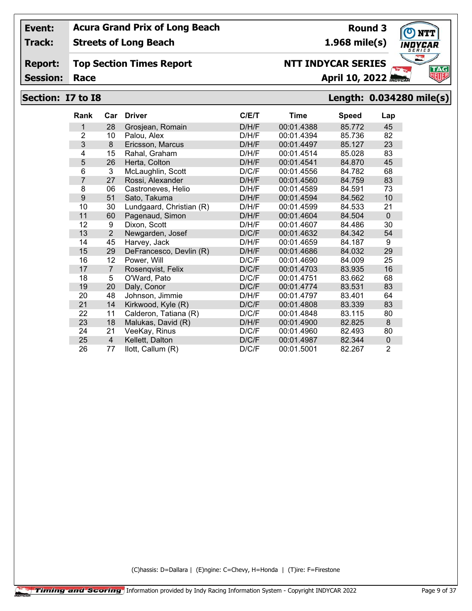**Track: Streets of Long Beach**

#### **Report: Top Section Times Report**

**Session:**

# **Section: I7 to I8 Length: 0.034280 mile(s)**

| <b>Rank</b>    | Car            | <b>Driver</b>            | C/ET  | <b>Time</b> | <b>Speed</b> | Lap         |
|----------------|----------------|--------------------------|-------|-------------|--------------|-------------|
| 1              | 28             | Grosjean, Romain         | D/H/F | 00:01.4388  | 85.772       | 45          |
| $\overline{2}$ | 10             | Palou, Alex              | D/H/F | 00:01.4394  | 85.736       | 82          |
| 3              | 8              | Ericsson, Marcus         | D/H/F | 00:01.4497  | 85.127       | 23          |
| 4              | 15             | Rahal, Graham            | D/H/F | 00:01.4514  | 85.028       | 83          |
| 5              | 26             | Herta, Colton            | D/H/F | 00:01.4541  | 84.870       | 45          |
| 6              | 3              | McLaughlin, Scott        | D/C/F | 00:01.4556  | 84.782       | 68          |
| $\overline{7}$ | 27             | Rossi, Alexander         | D/H/F | 00:01.4560  | 84.759       | 83          |
| 8              | 06             | Castroneves, Helio       | D/H/F | 00:01.4589  | 84.591       | 73          |
| 9              | 51             | Sato, Takuma             | D/H/F | 00:01.4594  | 84.562       | 10          |
| 10             | 30             | Lundgaard, Christian (R) | D/H/F | 00:01.4599  | 84.533       | 21          |
| 11             | 60             | Pagenaud, Simon          | D/H/F | 00:01.4604  | 84.504       | $\mathbf 0$ |
| 12             | 9              | Dixon, Scott             | D/H/F | 00:01.4607  | 84.486       | 30          |
| 13             | $\overline{2}$ | Newgarden, Josef         | D/C/F | 00:01.4632  | 84.342       | 54          |
| 14             | 45             | Harvey, Jack             | D/H/F | 00:01.4659  | 84.187       | 9           |
| 15             | 29             | DeFrancesco, Devlin (R)  | D/H/F | 00:01.4686  | 84.032       | 29          |
| 16             | 12             | Power, Will              | D/C/F | 00:01.4690  | 84.009       | 25          |
| 17             | $\overline{7}$ | Rosenqvist, Felix        | D/C/F | 00:01.4703  | 83.935       | 16          |
| 18             | 5              | O'Ward, Pato             | D/C/F | 00:01.4751  | 83.662       | 68          |
| 19             | 20             | Daly, Conor              | D/C/F | 00:01.4774  | 83.531       | 83          |
| 20             | 48             | Johnson, Jimmie          | D/H/F | 00:01.4797  | 83.401       | 64          |
| 21             | 14             | Kirkwood, Kyle (R)       | D/C/F | 00:01.4808  | 83.339       | 83          |
| 22             | 11             | Calderon, Tatiana (R)    | D/C/F | 00:01.4848  | 83.115       | 80          |
| 23             | 18             | Malukas, David (R)       | D/H/F | 00:01.4900  | 82.825       | 8           |
| 24             | 21             | VeeKay, Rinus            | D/C/F | 00:01.4960  | 82.493       | 80          |
| 25             | $\overline{4}$ | Kellett, Dalton          | D/C/F | 00:01.4987  | 82.344       | $\mathbf 0$ |
| 26             | 77             | llott, Callum (R)        | D/C/F | 00:01.5001  | 82.267       | 2           |

(C)hassis: D=Dallara | (E)ngine: C=Chevy, H=Honda | (T)ire: F=Firestone



**Round 3 1.968 mile(s)**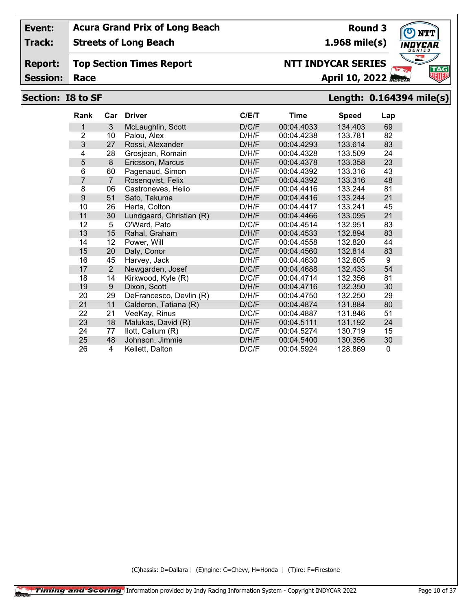**Track: Streets of Long Beach**

#### **Report: Top Section Times Report**

**Session:**

# **Section: I8 to SF Length: 0.164394 mile(s)**

**Round 3**

**1.968 mile(s)**

**NTT INDYCAR SERIES**

| <b>Rank</b>    | Car            | <b>Driver</b>            | C/E/T | Time       | <b>Speed</b> | Lap         |
|----------------|----------------|--------------------------|-------|------------|--------------|-------------|
| 1              | 3              | McLaughlin, Scott        | D/C/F | 00:04.4033 | 134.403      | 69          |
| $\overline{2}$ | 10             | Palou, Alex              | D/H/F | 00:04.4238 | 133.781      | 82          |
| 3              | 27             | Rossi, Alexander         | D/H/F | 00:04.4293 | 133.614      | 83          |
| 4              | 28             | Grosjean, Romain         | D/H/F | 00:04.4328 | 133.509      | 24          |
| 5              | 8              | Ericsson, Marcus         | D/H/F | 00:04.4378 | 133.358      | 23          |
| 6              | 60             | Pagenaud, Simon          | D/H/F | 00:04.4392 | 133.316      | 43          |
| 7              | $\overline{7}$ | Rosenqvist, Felix        | D/C/F | 00:04.4392 | 133.316      | 48          |
| 8              | 06             | Castroneves, Helio       | D/H/F | 00:04.4416 | 133.244      | 81          |
| 9              | 51             | Sato, Takuma             | D/H/F | 00:04.4416 | 133.244      | 21          |
| 10             | 26             | Herta, Colton            | D/H/F | 00:04.4417 | 133.241      | 45          |
| 11             | 30             | Lundgaard, Christian (R) | D/H/F | 00:04.4466 | 133.095      | 21          |
| 12             | 5              | O'Ward, Pato             | D/C/F | 00:04.4514 | 132.951      | 83          |
| 13             | 15             | Rahal, Graham            | D/H/F | 00:04.4533 | 132.894      | 83          |
| 14             | 12             | Power, Will              | D/C/F | 00:04.4558 | 132.820      | 44          |
| 15             | 20             | Daly, Conor              | D/C/F | 00:04.4560 | 132.814      | 83          |
| 16             | 45             | Harvey, Jack             | D/H/F | 00:04.4630 | 132.605      | 9           |
| 17             | $\overline{2}$ | Newgarden, Josef         | D/C/F | 00:04.4688 | 132.433      | 54          |
| 18             | 14             | Kirkwood, Kyle (R)       | D/C/F | 00:04.4714 | 132.356      | 81          |
| 19             | 9              | Dixon, Scott             | D/H/F | 00:04.4716 | 132.350      | 30          |
| 20             | 29             | DeFrancesco, Devlin (R)  | D/H/F | 00:04.4750 | 132.250      | 29          |
| 21             | 11             | Calderon, Tatiana (R)    | D/C/F | 00:04.4874 | 131.884      | 80          |
| 22             | 21             | VeeKay, Rinus            | D/C/F | 00:04.4887 | 131.846      | 51          |
| 23             | 18             | Malukas, David (R)       | D/H/F | 00:04.5111 | 131.192      | 24          |
| 24             | 77             | llott, Callum (R)        | D/C/F | 00:04.5274 | 130.719      | 15          |
| 25             | 48             | Johnson, Jimmie          | D/H/F | 00:04.5400 | 130.356      | 30          |
| 26             | $\overline{4}$ | Kellett, Dalton          | D/C/F | 00:04.5924 | 128.869      | $\mathbf 0$ |

(C)hassis: D=Dallara | (E)ngine: C=Chevy, H=Honda | (T)ire: F=Firestone

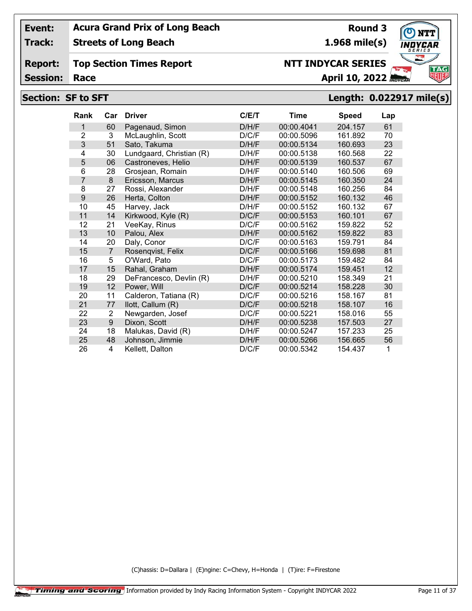**Track: Streets of Long Beach**

**Report: Top Section Times Report**

**Session:**

## **Section: SF to SFT Length: 0.022917 mile(s)**

| <b>Rank</b>    | Car            | <b>Driver</b>            | C/ET  | <b>Time</b> | <b>Speed</b> | Lap |
|----------------|----------------|--------------------------|-------|-------------|--------------|-----|
| 1              | 60             | Pagenaud, Simon          | D/H/F | 00:00.4041  | 204.157      | 61  |
| $\overline{2}$ | 3              | McLaughlin, Scott        | D/C/F | 00:00.5096  | 161.892      | 70  |
| 3              | 51             | Sato, Takuma             | D/H/F | 00:00.5134  | 160.693      | 23  |
| 4              | 30             | Lundgaard, Christian (R) | D/H/F | 00:00.5138  | 160.568      | 22  |
| 5              | 06             | Castroneves, Helio       | D/H/F | 00:00.5139  | 160.537      | 67  |
| 6              | 28             | Grosjean, Romain         | D/H/F | 00:00.5140  | 160.506      | 69  |
| 7              | 8              | Ericsson, Marcus         | D/H/F | 00:00.5145  | 160.350      | 24  |
| 8              | 27             | Rossi, Alexander         | D/H/F | 00:00.5148  | 160.256      | 84  |
| 9              | 26             | Herta, Colton            | D/H/F | 00:00.5152  | 160.132      | 46  |
| 10             | 45             | Harvey, Jack             | D/H/F | 00:00.5152  | 160.132      | 67  |
| 11             | 14             | Kirkwood, Kyle (R)       | D/C/F | 00:00.5153  | 160.101      | 67  |
| 12             | 21             | VeeKay, Rinus            | D/C/F | 00:00.5162  | 159.822      | 52  |
| 13             | 10             | Palou, Alex              | D/H/F | 00:00.5162  | 159.822      | 83  |
| 14             | 20             | Daly, Conor              | D/C/F | 00:00.5163  | 159.791      | 84  |
| 15             | $\overline{7}$ | Rosenqvist, Felix        | D/C/F | 00:00.5166  | 159.698      | 81  |
| 16             | 5              | O'Ward, Pato             | D/C/F | 00:00.5173  | 159.482      | 84  |
| 17             | 15             | Rahal, Graham            | D/H/F | 00:00.5174  | 159.451      | 12  |
| 18             | 29             | DeFrancesco, Devlin (R)  | D/H/F | 00:00.5210  | 158.349      | 21  |
| 19             | 12             | Power, Will              | D/C/F | 00:00.5214  | 158.228      | 30  |
| 20             | 11             | Calderon, Tatiana (R)    | D/C/F | 00:00.5216  | 158.167      | 81  |
| 21             | 77             | llott, Callum (R)        | D/C/F | 00:00.5218  | 158.107      | 16  |
| 22             | 2              | Newgarden, Josef         | D/C/F | 00:00.5221  | 158.016      | 55  |
| 23             | 9              | Dixon, Scott             | D/H/F | 00:00.5238  | 157.503      | 27  |
| 24             | 18             | Malukas, David (R)       | D/H/F | 00:00.5247  | 157.233      | 25  |
| 25             | 48             | Johnson, Jimmie          | D/H/F | 00:00.5266  | 156.665      | 56  |
| 26             | 4              | Kellett, Dalton          | D/C/F | 00:00.5342  | 154.437      | 1   |

(C)hassis: D=Dallara | (E)ngine: C=Chevy, H=Honda | (T)ire: F=Firestone



**1.968 mile(s)**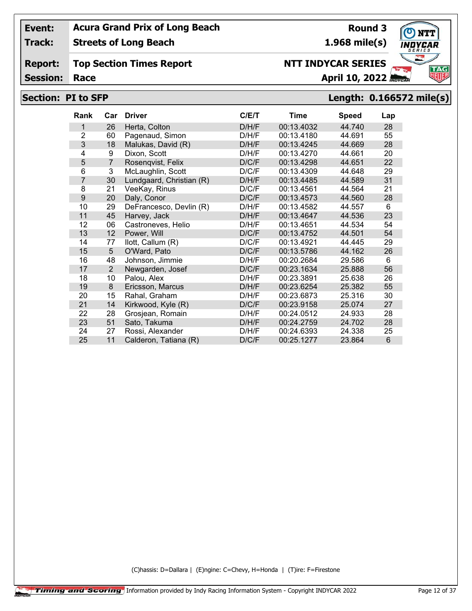**Track: Streets of Long Beach**

**Report: Top Section Times Report**

**Session:**

## **Section: PI to SFP Length: 0.166572 mile(s)**

**Round 3**

**1.968 mile(s)**

**NTT INDYCAR SERIES**

| <b>Rank</b>    | Car            | <b>Driver</b>            | C/E/T | Time       | <b>Speed</b> | Lap |
|----------------|----------------|--------------------------|-------|------------|--------------|-----|
| 1              | 26             | Herta, Colton            | D/H/F | 00:13.4032 | 44.740       | 28  |
| $\overline{2}$ | 60             | Pagenaud, Simon          | D/H/F | 00:13.4180 | 44.691       | 55  |
| 3              | 18             | Malukas, David (R)       | D/H/F | 00:13.4245 | 44.669       | 28  |
| 4              | 9              | Dixon, Scott             | D/H/F | 00:13.4270 | 44.661       | 20  |
| 5              | $\overline{7}$ | Rosenqvist, Felix        | D/C/F | 00:13.4298 | 44.651       | 22  |
| 6              | 3              | McLaughlin, Scott        | D/C/F | 00:13.4309 | 44.648       | 29  |
| 7              | 30             | Lundgaard, Christian (R) | D/H/F | 00:13.4485 | 44.589       | 31  |
| 8              | 21             | VeeKay, Rinus            | D/C/F | 00:13.4561 | 44.564       | 21  |
| 9              | 20             | Daly, Conor              | D/C/F | 00:13.4573 | 44.560       | 28  |
| 10             | 29             | DeFrancesco, Devlin (R)  | D/H/F | 00:13.4582 | 44.557       | 6   |
| 11             | 45             | Harvey, Jack             | D/H/F | 00:13.4647 | 44.536       | 23  |
| 12             | 06             | Castroneves, Helio       | D/H/F | 00:13.4651 | 44.534       | 54  |
| 13             | 12             | Power, Will              | D/C/F | 00:13.4752 | 44.501       | 54  |
| 14             | 77             | llott, Callum (R)        | D/C/F | 00:13.4921 | 44.445       | 29  |
| 15             | 5              | O'Ward, Pato             | D/C/F | 00:13.5786 | 44.162       | 26  |
| 16             | 48             | Johnson, Jimmie          | D/H/F | 00:20.2684 | 29.586       | 6   |
| 17             | $\overline{2}$ | Newgarden, Josef         | D/C/F | 00:23.1634 | 25.888       | 56  |
| 18             | 10             | Palou, Alex              | D/H/F | 00:23.3891 | 25.638       | 26  |
| 19             | 8              | Ericsson, Marcus         | D/H/F | 00:23.6254 | 25.382       | 55  |
| 20             | 15             | Rahal, Graham            | D/H/F | 00:23.6873 | 25.316       | 30  |
| 21             | 14             | Kirkwood, Kyle (R)       | D/C/F | 00:23.9158 | 25.074       | 27  |
| 22             | 28             | Grosjean, Romain         | D/H/F | 00:24.0512 | 24.933       | 28  |
| 23             | 51             | Sato, Takuma             | D/H/F | 00:24.2759 | 24.702       | 28  |
| 24             | 27             | Rossi, Alexander         | D/H/F | 00:24.6393 | 24.338       | 25  |
| 25             | 11             | Calderon, Tatiana (R)    | D/C/F | 00:25.1277 | 23.864       | 6   |

(C)hassis: D=Dallara | (E)ngine: C=Chevy, H=Honda | (T)ire: F=Firestone



# **Race April 10, 2022 April 10, 2022**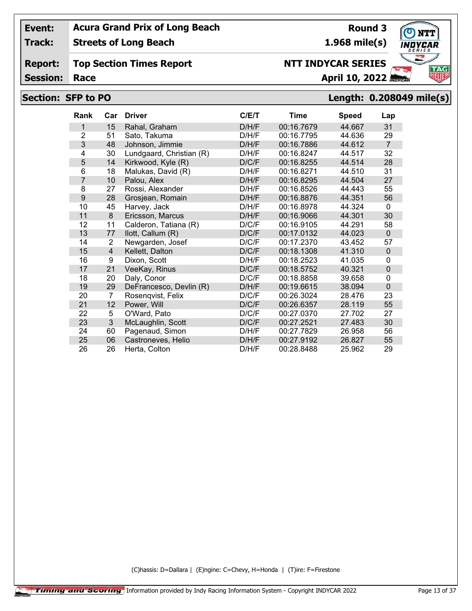**Track: Streets of Long Beach**

#### **Report: Top Section Times Report**

**Session:**

## **Section: SFP to PO Length: 0.208049 mile(s)**

**Round 3**

**1.968 mile(s)**

**NTT INDYCAR SERIES**

| <b>Rank</b>    | Car            | <b>Driver</b>            | C/ET  | Time       | <b>Speed</b> | Lap            |
|----------------|----------------|--------------------------|-------|------------|--------------|----------------|
| 1              | 15             | Rahal, Graham            | D/H/F | 00:16.7679 | 44.667       | 31             |
| $\overline{2}$ | 51             | Sato, Takuma             | D/H/F | 00:16.7795 | 44.636       | 29             |
| 3              | 48             | Johnson, Jimmie          | D/H/F | 00:16.7886 | 44.612       | $\overline{7}$ |
| 4              | 30             | Lundgaard, Christian (R) | D/H/F | 00:16.8247 | 44.517       | 32             |
| 5              | 14             | Kirkwood, Kyle (R)       | D/C/F | 00:16.8255 | 44.514       | 28             |
| 6              | 18             | Malukas, David (R)       | D/H/F | 00:16.8271 | 44.510       | 31             |
| 7              | 10             | Palou, Alex              | D/H/F | 00:16.8295 | 44.504       | 27             |
| 8              | 27             | Rossi, Alexander         | D/H/F | 00:16.8526 | 44.443       | 55             |
| 9              | 28             | Grosjean, Romain         | D/H/F | 00:16.8876 | 44.351       | 56             |
| 10             | 45             | Harvey, Jack             | D/H/F | 00:16.8978 | 44.324       | $\mathbf{0}$   |
| 11             | 8              | Ericsson, Marcus         | D/H/F | 00:16.9066 | 44.301       | 30             |
| 12             | 11             | Calderon, Tatiana (R)    | D/C/F | 00:16.9105 | 44.291       | 58             |
| 13             | 77             | llott, Callum (R)        | D/C/F | 00:17.0132 | 44.023       | $\Omega$       |
| 14             | 2              | Newgarden, Josef         | D/C/F | 00:17.2370 | 43.452       | 57             |
| 15             | $\overline{4}$ | Kellett, Dalton          | D/C/F | 00:18.1308 | 41.310       | $\mathbf{0}$   |
| 16             | 9              | Dixon, Scott             | D/H/F | 00:18.2523 | 41.035       | 0              |
| 17             | 21             | VeeKay, Rinus            | D/C/F | 00:18.5752 | 40.321       | $\mathbf 0$    |
| 18             | 20             | Daly, Conor              | D/C/F | 00:18.8858 | 39.658       | 0              |
| 19             | 29             | DeFrancesco, Devlin (R)  | D/H/F | 00:19.6615 | 38.094       | $\mathbf 0$    |
| 20             | $\overline{7}$ | Rosengvist, Felix        | D/C/F | 00:26.3024 | 28.476       | 23             |
| 21             | 12             | Power, Will              | D/C/F | 00:26.6357 | 28.119       | 55             |
| 22             | 5              | O'Ward, Pato             | D/C/F | 00:27.0370 | 27.702       | 27             |
| 23             | 3              | McLaughlin, Scott        | D/C/F | 00:27.2521 | 27.483       | 30             |
| 24             | 60             | Pagenaud, Simon          | D/H/F | 00:27.7829 | 26.958       | 56             |
| 25             | 06             | Castroneves, Helio       | D/H/F | 00:27.9192 | 26.827       | 55             |
| 26             | 26             | Herta, Colton            | D/H/F | 00:28.8488 | 25.962       | 29             |

(C)hassis: D=Dallara | (E)ngine: C=Chevy, H=Honda | (T)ire: F=Firestone

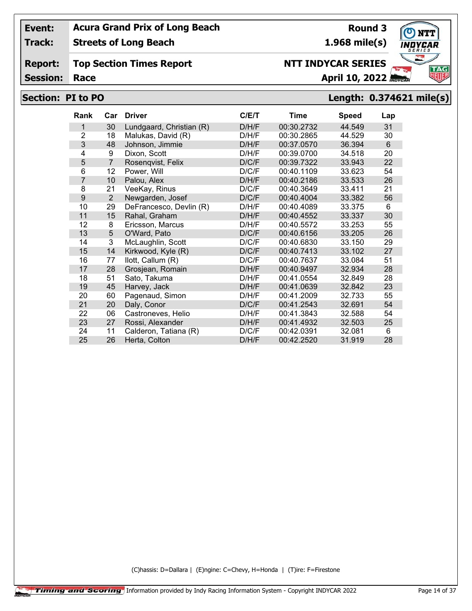**Streets of Long Beach**

**Report: Top Section Times Report**

**Session:**

# **Section: PI to PO Length: 0.374621 mile(s)**

 28 Grosjean, Romain D/H/F 00:40.9497 32.934 28 51 Sato, Takuma D/H/F 00:41.0554 32.849 28 45 Harvey, Jack D/H/F 00:41.0639 32.842 23 60 Pagenaud, Simon D/H/F 00:41.2009 32.733 55 20 Daly, Conor D/C/F 00:41.2543 32.691 54 06 Castroneves, Helio D/H/F 00:41.3843 32.588 54 27 Rossi, Alexander D/H/F 00:41.4932 32.503 25 11 Calderon, Tatiana (R) D/C/F 00:42.0391 32.081 6 26 Herta, Colton D/H/F 00:42.2520 31.919 28

| Rank | Car            | <b>Driver</b>            | C/E/T | Time       | <b>Speed</b> | Lap |
|------|----------------|--------------------------|-------|------------|--------------|-----|
|      | 30             | Lundgaard, Christian (R) | D/H/F | 00:30.2732 | 44.549       | 31  |
| 2    | 18             | Malukas, David (R)       | D/H/F | 00:30.2865 | 44.529       | 30  |
| 3    | 48             | Johnson, Jimmie          | D/H/F | 00:37.0570 | 36.394       | 6   |
| 4    | 9              | Dixon, Scott             | D/H/F | 00:39.0700 | 34.518       | 20  |
| 5    | $\overline{7}$ | Rosenqvist, Felix        | D/C/F | 00:39.7322 | 33.943       | 22  |
| 6    | 12             | Power, Will              | D/C/F | 00:40.1109 | 33.623       | 54  |
|      | 10             | Palou, Alex              | D/H/F | 00:40.2186 | 33.533       | 26  |
| 8    | 21             | VeeKay, Rinus            | D/C/F | 00:40.3649 | 33.411       | 21  |
| 9    | 2              | Newgarden, Josef         | D/C/F | 00:40.4004 | 33.382       | 56  |
| 10   | 29             | DeFrancesco, Devlin (R)  | D/H/F | 00:40.4089 | 33.375       | 6   |
| 11   | 15             | Rahal, Graham            | D/H/F | 00:40.4552 | 33.337       | 30  |
| 12   | 8              | Ericsson, Marcus         | D/H/F | 00:40.5572 | 33.253       | 55  |
| 13   | 5              | O'Ward, Pato             | D/C/F | 00:40.6156 | 33.205       | 26  |
| 14   | 3              | McLaughlin, Scott        | D/C/F | 00:40.6830 | 33.150       | 29  |
| 15   | 14             | Kirkwood, Kyle (R)       | D/C/F | 00:40.7413 | 33.102       | 27  |
| 16   | 77             | llott, Callum (R)        | D/C/F | 00:40.7637 | 33.084       | 51  |

(C)hassis: D=Dallara | (E)ngine: C=Chevy, H=Honda | (T)ire: F=Firestone



**Round 3 1.968 mile(s)**

**NTT INDYCAR SERIES**

**Race April 10, 2022 April 10, 2022** 

**Track:**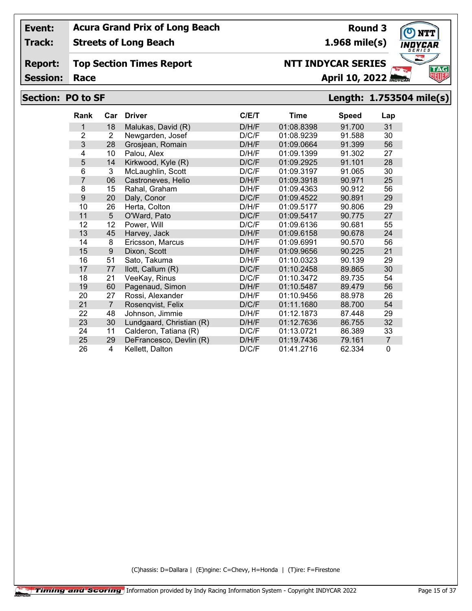**Track: Streets of Long Beach**

**Report: Top Section Times Report**

**Session:**

## **Race April 10, 2022**

## **Section: PO to SF Length: 1.753504 mile(s)**

| Rank           | Car            | <b>Driver</b>            | C/ET  | Time       | <b>Speed</b> | Lap            |
|----------------|----------------|--------------------------|-------|------------|--------------|----------------|
| 1              | 18             | Malukas, David (R)       | D/H/F | 01:08.8398 | 91.700       | 31             |
| $\overline{2}$ | 2              | Newgarden, Josef         | D/C/F | 01:08.9239 | 91.588       | 30             |
| 3              | 28             | Grosjean, Romain         | D/H/F | 01:09.0664 | 91.399       | 56             |
| 4              | 10             | Palou, Alex              | D/H/F | 01:09.1399 | 91.302       | 27             |
| 5              | 14             | Kirkwood, Kyle (R)       | D/C/F | 01:09.2925 | 91.101       | 28             |
| 6              | 3              | McLaughlin, Scott        | D/C/F | 01:09.3197 | 91.065       | 30             |
| $\overline{7}$ | 06             | Castroneves, Helio       | D/H/F | 01:09.3918 | 90.971       | 25             |
| 8              | 15             | Rahal, Graham            | D/H/F | 01:09.4363 | 90.912       | 56             |
| 9              | 20             | Daly, Conor              | D/C/F | 01:09.4522 | 90.891       | 29             |
| 10             | 26             | Herta, Colton            | D/H/F | 01:09.5177 | 90.806       | 29             |
| 11             | 5              | O'Ward, Pato             | D/C/F | 01:09.5417 | 90.775       | 27             |
| 12             | 12             | Power, Will              | D/C/F | 01:09.6136 | 90.681       | 55             |
| 13             | 45             | Harvey, Jack             | D/H/F | 01:09.6158 | 90.678       | 24             |
| 14             | 8              | Ericsson, Marcus         | D/H/F | 01:09.6991 | 90.570       | 56             |
| 15             | 9              | Dixon, Scott             | D/H/F | 01:09.9656 | 90.225       | 21             |
| 16             | 51             | Sato, Takuma             | D/H/F | 01:10.0323 | 90.139       | 29             |
| 17             | 77             | llott, Callum (R)        | D/C/F | 01:10.2458 | 89.865       | 30             |
| 18             | 21             | VeeKay, Rinus            | D/C/F | 01:10.3472 | 89.735       | 54             |
| 19             | 60             | Pagenaud, Simon          | D/H/F | 01:10.5487 | 89.479       | 56             |
| 20             | 27             | Rossi, Alexander         | D/H/F | 01:10.9456 | 88.978       | 26             |
| 21             | $\overline{7}$ | Rosenqvist, Felix        | D/C/F | 01:11.1680 | 88.700       | 54             |
| 22             | 48             | Johnson, Jimmie          | D/H/F | 01:12.1873 | 87.448       | 29             |
| 23             | 30             | Lundgaard, Christian (R) | D/H/F | 01:12.7636 | 86.755       | 32             |
| 24             | 11             | Calderon, Tatiana (R)    | D/C/F | 01:13.0721 | 86.389       | 33             |
| 25             | 29             | DeFrancesco, Devlin (R)  | D/H/F | 01:19.7436 | 79.161       | $\overline{7}$ |
| 26             | 4              | Kellett, Dalton          | D/C/F | 01:41.2716 | 62.334       | $\mathbf{0}$   |

(C)hassis: D=Dallara | (E)ngine: C=Chevy, H=Honda | (T)ire: F=Firestone



**Round 3**

**1.968 mile(s)**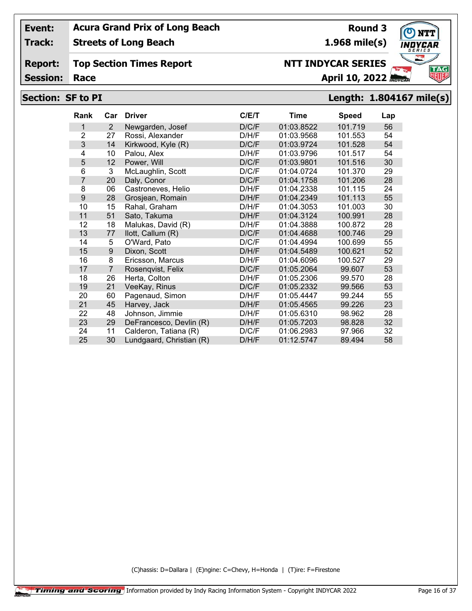**Track: Streets of Long Beach**

#### **Report: Top Section Times Report**

**Session:**

# **NTT INDYCAR SERIES**

**Race April 10, 2022**

## **Section: SF to PI Length: 1.804167 mile(s)**

| <b>Rank</b>    | Car | <b>Driver</b>            | C/E/T | <b>Time</b> | <b>Speed</b> | Lap |
|----------------|-----|--------------------------|-------|-------------|--------------|-----|
| 1              | 2   | Newgarden, Josef         | D/C/F | 01:03.8522  | 101.719      | 56  |
| 2              | 27  | Rossi, Alexander         | D/H/F | 01:03.9568  | 101.553      | 54  |
| 3              | 14  | Kirkwood, Kyle (R)       | D/C/F | 01:03.9724  | 101.528      | 54  |
| 4              | 10  | Palou, Alex              | D/H/F | 01:03.9796  | 101.517      | 54  |
| 5              | 12  | Power, Will              | D/C/F | 01:03.9801  | 101.516      | 30  |
| 6              | 3   | McLaughlin, Scott        | D/C/F | 01:04.0724  | 101.370      | 29  |
| $\overline{7}$ | 20  | Daly, Conor              | D/C/F | 01:04.1758  | 101.206      | 28  |
| 8              | 06  | Castroneves, Helio       | D/H/F | 01:04.2338  | 101.115      | 24  |
| 9              | 28  | Grosjean, Romain         | D/H/F | 01:04.2349  | 101.113      | 55  |
| 10             | 15  | Rahal, Graham            | D/H/F | 01:04.3053  | 101.003      | 30  |
| 11             | 51  | Sato, Takuma             | D/H/F | 01:04.3124  | 100.991      | 28  |
| 12             | 18  | Malukas, David (R)       | D/H/F | 01:04.3888  | 100.872      | 28  |
| 13             | 77  | llott, Callum (R)        | D/C/F | 01:04.4688  | 100.746      | 29  |
| 14             | 5   | O'Ward, Pato             | D/C/F | 01:04.4994  | 100.699      | 55  |
| 15             | 9   | Dixon, Scott             | D/H/F | 01:04.5489  | 100.621      | 52  |
| 16             | 8   | Ericsson, Marcus         | D/H/F | 01:04.6096  | 100.527      | 29  |
| 17             | 7   | Rosenqvist, Felix        | D/C/F | 01:05.2064  | 99.607       | 53  |
| 18             | 26  | Herta, Colton            | D/H/F | 01:05.2306  | 99.570       | 28  |
| 19             | 21  | VeeKay, Rinus            | D/C/F | 01:05.2332  | 99.566       | 53  |
| 20             | 60  | Pagenaud, Simon          | D/H/F | 01:05.4447  | 99.244       | 55  |
| 21             | 45  | Harvey, Jack             | D/H/F | 01:05.4565  | 99.226       | 23  |
| 22             | 48  | Johnson, Jimmie          | D/H/F | 01:05.6310  | 98.962       | 28  |
| 23             | 29  | DeFrancesco, Devlin (R)  | D/H/F | 01:05.7203  | 98.828       | 32  |
| 24             | 11  | Calderon, Tatiana (R)    | D/C/F | 01:06.2983  | 97.966       | 32  |
| 25             | 30  | Lundgaard, Christian (R) | D/H/F | 01:12.5747  | 89.494       | 58  |

(C)hassis: D=Dallara | (E)ngine: C=Chevy, H=Honda | (T)ire: F=Firestone



**Round 3**

**1.968 mile(s)**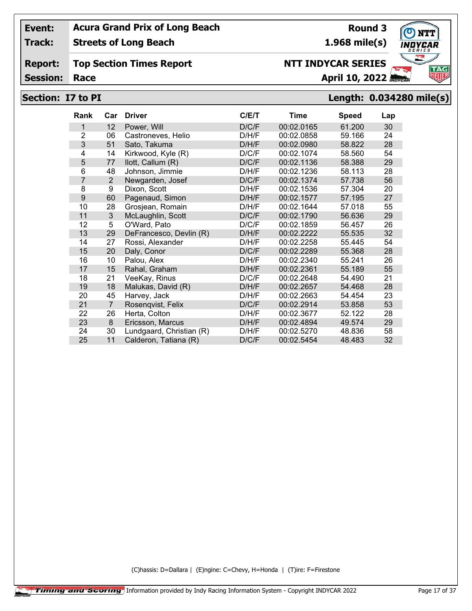**Track: Streets of Long Beach**

#### **Report: Top Section Times Report**

**Session:**

## **Section: I7 to PI Length: 0.034280 mile(s)**

| Rank           | Car            | <b>Driver</b>            | C/E/T | Time       | <b>Speed</b> | Lap |
|----------------|----------------|--------------------------|-------|------------|--------------|-----|
| 1              | 12             | Power, Will              | D/C/F | 00:02.0165 | 61.200       | 30  |
| $\overline{2}$ | 06             | Castroneves, Helio       | D/H/F | 00:02.0858 | 59.166       | 24  |
| 3              | 51             | Sato, Takuma             | D/H/F | 00:02.0980 | 58.822       | 28  |
| 4              | 14             | Kirkwood, Kyle (R)       | D/C/F | 00:02.1074 | 58.560       | 54  |
| 5              | 77             | llott, Callum (R)        | D/C/F | 00:02.1136 | 58.388       | 29  |
| 6              | 48             | Johnson, Jimmie          | D/H/F | 00:02.1236 | 58.113       | 28  |
| 7              | $\overline{2}$ | Newgarden, Josef         | D/C/F | 00:02.1374 | 57.738       | 56  |
| 8              | 9              | Dixon, Scott             | D/H/F | 00:02.1536 | 57.304       | 20  |
| 9              | 60             | Pagenaud, Simon          | D/H/F | 00:02.1577 | 57.195       | 27  |
| 10             | 28             | Grosjean, Romain         | D/H/F | 00:02.1644 | 57.018       | 55  |
| 11             | 3              | McLaughlin, Scott        | D/C/F | 00:02.1790 | 56.636       | 29  |
| 12             | 5              | O'Ward, Pato             | D/C/F | 00:02.1859 | 56.457       | 26  |
| 13             | 29             | DeFrancesco, Devlin (R)  | D/H/F | 00:02.2222 | 55.535       | 32  |
| 14             | 27             | Rossi, Alexander         | D/H/F | 00:02.2258 | 55.445       | 54  |
| 15             | 20             | Daly, Conor              | D/C/F | 00:02.2289 | 55.368       | 28  |
| 16             | 10             | Palou, Alex              | D/H/F | 00:02.2340 | 55.241       | 26  |
| 17             | 15             | Rahal, Graham            | D/H/F | 00:02.2361 | 55.189       | 55  |
| 18             | 21             | VeeKay, Rinus            | D/C/F | 00:02.2648 | 54.490       | 21  |
| 19             | 18             | Malukas, David (R)       | D/H/F | 00:02.2657 | 54.468       | 28  |
| 20             | 45             | Harvey, Jack             | D/H/F | 00:02.2663 | 54.454       | 23  |
| 21             | $\overline{7}$ | Rosenqvist, Felix        | D/C/F | 00:02.2914 | 53,858       | 53  |
| 22             | 26             | Herta, Colton            | D/H/F | 00:02.3677 | 52.122       | 28  |
| 23             | 8              | Ericsson, Marcus         | D/H/F | 00:02.4894 | 49.574       | 29  |
| 24             | 30             | Lundgaard, Christian (R) | D/H/F | 00:02.5270 | 48.836       | 58  |
| 25             | 11             | Calderon, Tatiana (R)    | D/C/F | 00:02.5454 | 48.483       | 32  |

(C)hassis: D=Dallara | (E)ngine: C=Chevy, H=Honda | (T)ire: F=Firestone



**Round 3 1.968 mile(s)**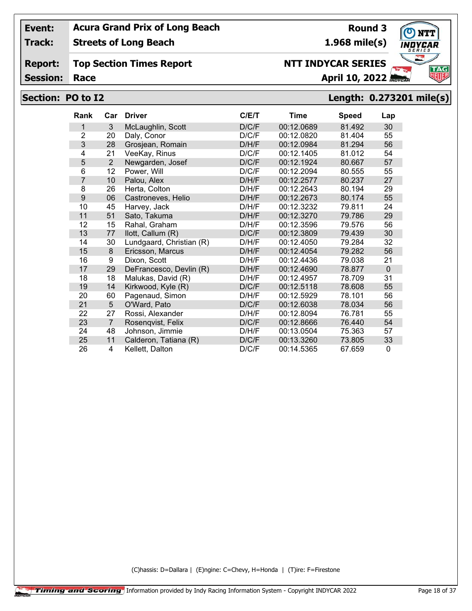**Track: Streets of Long Beach**

#### **Report: Top Section Times Report**

**Session:**

# **Section: PO to I2 Length: 0.273201 mile(s) Race April 10, 2022**

| <b>Rank</b>    | Car            | <b>Driver</b>            | C/E/T | <b>Time</b> | <b>Speed</b> | Lap            |
|----------------|----------------|--------------------------|-------|-------------|--------------|----------------|
| 1              | 3              | McLaughlin, Scott        | D/C/F | 00:12.0689  | 81.492       | 30             |
| $\overline{2}$ | 20             | Daly, Conor              | D/C/F | 00:12.0820  | 81.404       | 55             |
| 3              | 28             | Grosjean, Romain         | D/H/F | 00:12.0984  | 81.294       | 56             |
| 4              | 21             | VeeKay, Rinus            | D/C/F | 00:12.1405  | 81.012       | 54             |
| 5              | 2              | Newgarden, Josef         | D/C/F | 00:12.1924  | 80.667       | 57             |
| 6              | 12             | Power, Will              | D/C/F | 00:12.2094  | 80.555       | 55             |
| 7              | 10             | Palou, Alex              | D/H/F | 00:12.2577  | 80.237       | 27             |
| 8              | 26             | Herta, Colton            | D/H/F | 00:12.2643  | 80.194       | 29             |
| 9              | 06             | Castroneves, Helio       | D/H/F | 00:12.2673  | 80.174       | 55             |
| 10             | 45             | Harvey, Jack             | D/H/F | 00:12.3232  | 79.811       | 24             |
| 11             | 51             | Sato, Takuma             | D/H/F | 00:12.3270  | 79.786       | 29             |
| 12             | 15             | Rahal, Graham            | D/H/F | 00:12.3596  | 79.576       | 56             |
| 13             | 77             | llott, Callum (R)        | D/C/F | 00:12.3809  | 79.439       | 30             |
| 14             | 30             | Lundgaard, Christian (R) | D/H/F | 00:12.4050  | 79.284       | 32             |
| 15             | 8              | Ericsson, Marcus         | D/H/F | 00:12.4054  | 79.282       | 56             |
| 16             | 9              | Dixon, Scott             | D/H/F | 00:12.4436  | 79.038       | 21             |
| 17             | 29             | DeFrancesco, Devlin (R)  | D/H/F | 00:12.4690  | 78.877       | $\overline{0}$ |
| 18             | 18             | Malukas, David (R)       | D/H/F | 00:12.4957  | 78.709       | 31             |
| 19             | 14             | Kirkwood, Kyle (R)       | D/C/F | 00:12.5118  | 78.608       | 55             |
| 20             | 60             | Pagenaud, Simon          | D/H/F | 00:12.5929  | 78.101       | 56             |
| 21             | 5              | O'Ward, Pato             | D/C/F | 00:12.6038  | 78.034       | 56             |
| 22             | 27             | Rossi, Alexander         | D/H/F | 00:12.8094  | 76.781       | 55             |
| 23             | $\overline{7}$ | Rosenqvist, Felix        | D/C/F | 00:12.8666  | 76.440       | 54             |
| 24             | 48             | Johnson, Jimmie          | D/H/F | 00:13.0504  | 75.363       | 57             |
| 25             | 11             | Calderon, Tatiana (R)    | D/C/F | 00:13.3260  | 73.805       | 33             |
| 26             | 4              | Kellett, Dalton          | D/C/F | 00:14.5365  | 67.659       | $\Omega$       |

(C)hassis: D=Dallara | (E)ngine: C=Chevy, H=Honda | (T)ire: F=Firestone



**Round 3 1.968 mile(s)**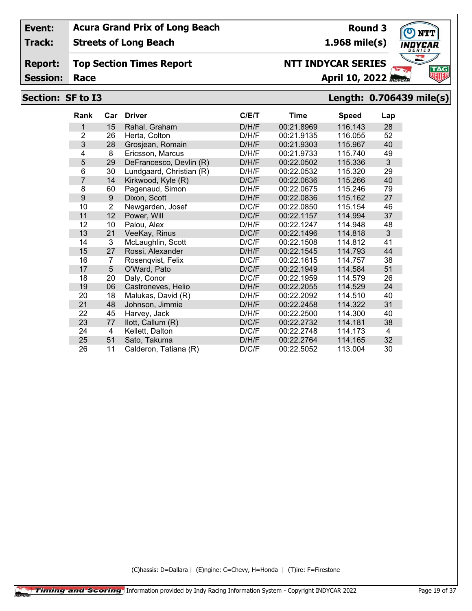**Track: Streets of Long Beach**

#### **Report: Top Section Times Report**

**Session:**

## **Section: SF to I3 Length: 0.706439 mile(s)**

| <b>Rank</b>    | Car            | <b>Driver</b>            | C/E/T | <b>Time</b> | <b>Speed</b> | Lap |
|----------------|----------------|--------------------------|-------|-------------|--------------|-----|
| 1              | 15             | Rahal, Graham            | D/H/F | 00:21.8969  | 116.143      | 28  |
| $\overline{2}$ | 26             | Herta, Colton            | D/H/F | 00:21.9135  | 116.055      | 52  |
| 3              | 28             | Grosjean, Romain         | D/H/F | 00:21.9303  | 115.967      | 40  |
| 4              | 8              | Ericsson, Marcus         | D/H/F | 00:21.9733  | 115.740      | 49  |
| 5              | 29             | DeFrancesco, Devlin (R)  | D/H/F | 00:22.0502  | 115.336      | 3   |
| 6              | 30             | Lundgaard, Christian (R) | D/H/F | 00:22.0532  | 115.320      | 29  |
| 7              | 14             | Kirkwood, Kyle (R)       | D/C/F | 00:22.0636  | 115.266      | 40  |
| 8              | 60             | Pagenaud, Simon          | D/H/F | 00:22.0675  | 115.246      | 79  |
| 9              | 9              | Dixon, Scott             | D/H/F | 00:22.0836  | 115.162      | 27  |
| 10             | $\overline{2}$ | Newgarden, Josef         | D/C/F | 00:22.0850  | 115.154      | 46  |
| 11             | 12             | Power, Will              | D/C/F | 00:22.1157  | 114.994      | 37  |
| 12             | 10             | Palou, Alex              | D/H/F | 00:22.1247  | 114.948      | 48  |
| 13             | 21             | VeeKay, Rinus            | D/C/F | 00:22.1496  | 114.818      | 3   |
| 14             | 3              | McLaughlin, Scott        | D/C/F | 00:22.1508  | 114.812      | 41  |
| 15             | 27             | Rossi, Alexander         | D/H/F | 00:22.1545  | 114.793      | 44  |
| 16             | 7              | Rosenqvist, Felix        | D/C/F | 00:22.1615  | 114.757      | 38  |
| 17             | 5              | O'Ward, Pato             | D/C/F | 00:22.1949  | 114.584      | 51  |
| 18             | 20             | Daly, Conor              | D/C/F | 00:22.1959  | 114.579      | 26  |
| 19             | 06             | Castroneves, Helio       | D/H/F | 00:22.2055  | 114.529      | 24  |
| 20             | 18             | Malukas, David (R)       | D/H/F | 00:22.2092  | 114.510      | 40  |
| 21             | 48             | Johnson, Jimmie          | D/H/F | 00:22.2458  | 114.322      | 31  |
| 22             | 45             | Harvey, Jack             | D/H/F | 00:22.2500  | 114.300      | 40  |
| 23             | 77             | llott, Callum (R)        | D/C/F | 00:22.2732  | 114.181      | 38  |
| 24             | 4              | Kellett, Dalton          | D/C/F | 00:22.2748  | 114.173      | 4   |
| 25             | 51             | Sato, Takuma             | D/H/F | 00:22.2764  | 114.165      | 32  |
| 26             | 11             | Calderon, Tatiana (R)    | D/C/F | 00:22.5052  | 113.004      | 30  |

(C)hassis: D=Dallara | (E)ngine: C=Chevy, H=Honda | (T)ire: F=Firestone



**1.968 mile(s)**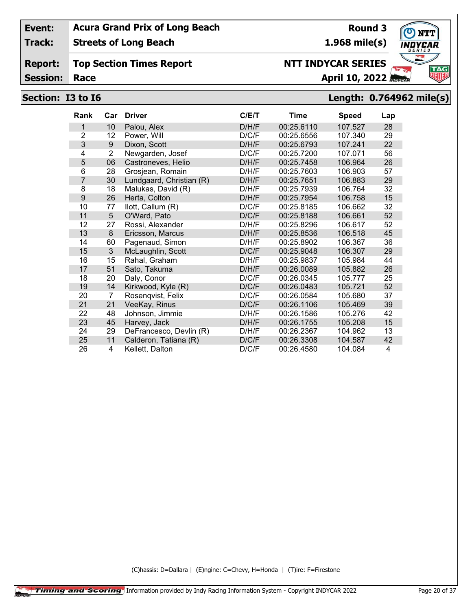**Track: Streets of Long Beach**

#### **Report: Top Section Times Report**

**Session:**

# **Section: I3 to I6 Length: 0.764962 mile(s)**

| <b>Rank</b>    | Car            | <b>Driver</b>            | C/E/T | Time       | <b>Speed</b> | Lap |
|----------------|----------------|--------------------------|-------|------------|--------------|-----|
| 1              | 10             | Palou, Alex              | D/H/F | 00:25.6110 | 107.527      | 28  |
| $\overline{2}$ | 12             | Power, Will              | D/C/F | 00:25.6556 | 107.340      | 29  |
| 3              | 9              | Dixon, Scott             | D/H/F | 00:25.6793 | 107.241      | 22  |
| 4              | $\overline{2}$ | Newgarden, Josef         | D/C/F | 00:25.7200 | 107.071      | 56  |
| 5              | 06             | Castroneves, Helio       | D/H/F | 00:25.7458 | 106.964      | 26  |
| 6              | 28             | Grosjean, Romain         | D/H/F | 00:25.7603 | 106.903      | 57  |
| $\overline{7}$ | 30             | Lundgaard, Christian (R) | D/H/F | 00:25.7651 | 106.883      | 29  |
| 8              | 18             | Malukas, David (R)       | D/H/F | 00:25.7939 | 106.764      | 32  |
| 9              | 26             | Herta, Colton            | D/H/F | 00:25.7954 | 106.758      | 15  |
| 10             | 77             | llott, Callum (R)        | D/C/F | 00:25.8185 | 106.662      | 32  |
| 11             | 5              | O'Ward, Pato             | D/C/F | 00:25.8188 | 106.661      | 52  |
| 12             | 27             | Rossi, Alexander         | D/H/F | 00:25.8296 | 106.617      | 52  |
| 13             | 8              | Ericsson, Marcus         | D/H/F | 00:25.8536 | 106.518      | 45  |
| 14             | 60             | Pagenaud, Simon          | D/H/F | 00:25.8902 | 106.367      | 36  |
| 15             | 3              | McLaughlin, Scott        | D/C/F | 00:25.9048 | 106.307      | 29  |
| 16             | 15             | Rahal, Graham            | D/H/F | 00:25.9837 | 105.984      | 44  |
| 17             | 51             | Sato, Takuma             | D/H/F | 00:26.0089 | 105.882      | 26  |
| 18             | 20             | Daly, Conor              | D/C/F | 00:26.0345 | 105.777      | 25  |
| 19             | 14             | Kirkwood, Kyle (R)       | D/C/F | 00:26.0483 | 105.721      | 52  |
| 20             | $\overline{7}$ | Rosenqvist, Felix        | D/C/F | 00:26.0584 | 105.680      | 37  |
| 21             | 21             | VeeKay, Rinus            | D/C/F | 00:26.1106 | 105.469      | 39  |
| 22             | 48             | Johnson, Jimmie          | D/H/F | 00:26.1586 | 105.276      | 42  |
| 23             | 45             | Harvey, Jack             | D/H/F | 00:26.1755 | 105.208      | 15  |
| 24             | 29             | DeFrancesco, Devlin (R)  | D/H/F | 00:26.2367 | 104.962      | 13  |
| 25             | 11             | Calderon, Tatiana (R)    | D/C/F | 00:26.3308 | 104.587      | 42  |
| 26             | 4              | Kellett, Dalton          | D/C/F | 00:26.4580 | 104.084      | 4   |

(C)hassis: D=Dallara | (E)ngine: C=Chevy, H=Honda | (T)ire: F=Firestone



**Round 3 1.968 mile(s)**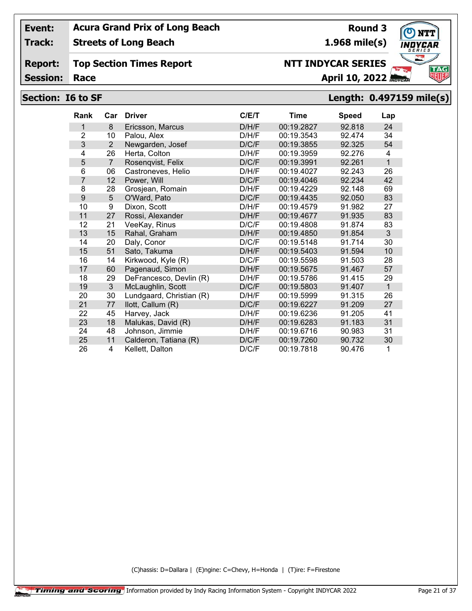**Track: Streets of Long Beach**

#### **Report: Top Section Times Report**

**Session:**

# **Section: I6 to SF Length: 0.497159 mile(s)**

| <b>Rank</b>    | Car            | <b>Driver</b>            | C/ET  | <b>Time</b> | <b>Speed</b> | Lap          |
|----------------|----------------|--------------------------|-------|-------------|--------------|--------------|
| 1              | 8              | Ericsson, Marcus         | D/H/F | 00:19.2827  | 92.818       | 24           |
| $\overline{2}$ | 10             | Palou, Alex              | D/H/F | 00:19.3543  | 92.474       | 34           |
| 3              | 2              | Newgarden, Josef         | D/C/F | 00:19.3855  | 92.325       | 54           |
| 4              | 26             | Herta, Colton            | D/H/F | 00:19.3959  | 92.276       | 4            |
| 5              | $\overline{7}$ | Rosenqvist, Felix        | D/C/F | 00:19.3991  | 92.261       | $\mathbf{1}$ |
| 6              | 06             | Castroneves, Helio       | D/H/F | 00:19.4027  | 92.243       | 26           |
| $\overline{7}$ | 12             | Power, Will              | D/C/F | 00:19.4046  | 92.234       | 42           |
| 8              | 28             | Grosjean, Romain         | D/H/F | 00:19.4229  | 92.148       | 69           |
| 9              | 5              | O'Ward, Pato             | D/C/F | 00:19.4435  | 92.050       | 83           |
| 10             | 9              | Dixon, Scott             | D/H/F | 00:19.4579  | 91.982       | 27           |
| 11             | 27             | Rossi, Alexander         | D/H/F | 00:19.4677  | 91.935       | 83           |
| 12             | 21             | VeeKay, Rinus            | D/C/F | 00:19.4808  | 91.874       | 83           |
| 13             | 15             | Rahal, Graham            | D/H/F | 00:19.4850  | 91.854       | 3            |
| 14             | 20             | Daly, Conor              | D/C/F | 00:19.5148  | 91.714       | 30           |
| 15             | 51             | Sato, Takuma             | D/H/F | 00:19.5403  | 91.594       | 10           |
| 16             | 14             | Kirkwood, Kyle (R)       | D/C/F | 00:19.5598  | 91.503       | 28           |
| 17             | 60             | Pagenaud, Simon          | D/H/F | 00:19.5675  | 91.467       | 57           |
| 18             | 29             | DeFrancesco, Devlin (R)  | D/H/F | 00:19.5786  | 91.415       | 29           |
| 19             | 3              | McLaughlin, Scott        | D/C/F | 00:19.5803  | 91.407       | $\mathbf{1}$ |
| 20             | 30             | Lundgaard, Christian (R) | D/H/F | 00:19.5999  | 91.315       | 26           |
| 21             | 77             | llott, Callum (R)        | D/C/F | 00:19.6227  | 91.209       | 27           |
| 22             | 45             | Harvey, Jack             | D/H/F | 00:19.6236  | 91.205       | 41           |
| 23             | 18             | Malukas, David (R)       | D/H/F | 00:19.6283  | 91.183       | 31           |
| 24             | 48             | Johnson, Jimmie          | D/H/F | 00:19.6716  | 90.983       | 31           |
| 25             | 11             | Calderon, Tatiana (R)    | D/C/F | 00:19.7260  | 90.732       | 30           |
| 26             | 4              | Kellett, Dalton          | D/C/F | 00:19.7818  | 90.476       | 1            |

(C)hassis: D=Dallara | (E)ngine: C=Chevy, H=Honda | (T)ire: F=Firestone



**Round 3 1.968 mile(s)**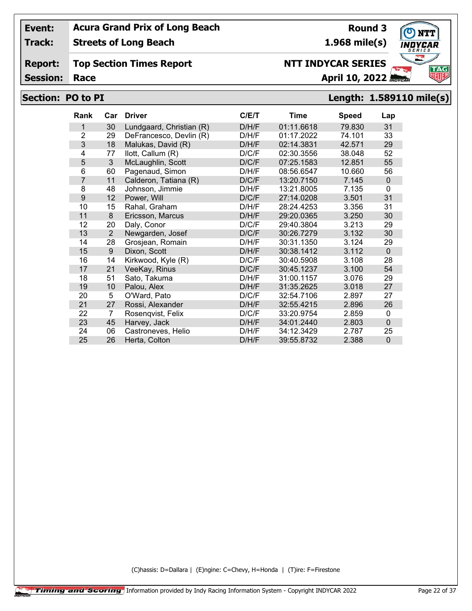**Track:**

**Streets of Long Beach**

#### **Report: Top Section Times Report**

**Session:**

# **Race April 10, 2022**

**Round 3**

**1.968 mile(s)**

**NTT INDYCAR SERIES**

## **Section: PO to PI Length: 1.589110 mile(s)**

| Rank           | Car | <b>Driver</b>            | C/E/T | <b>Time</b> | <b>Speed</b> | Lap          |
|----------------|-----|--------------------------|-------|-------------|--------------|--------------|
| 1              | 30  | Lundgaard, Christian (R) | D/H/F | 01:11.6618  | 79.830       | 31           |
| 2              | 29  | DeFrancesco, Devlin (R)  | D/H/F | 01:17.2022  | 74.101       | 33           |
| 3              | 18  | Malukas, David (R)       | D/H/F | 02:14.3831  | 42.571       | 29           |
| 4              | 77  | llott, Callum (R)        | D/C/F | 02:30.3556  | 38.048       | 52           |
| 5              | 3   | McLaughlin, Scott        | D/C/F | 07:25.1583  | 12.851       | 55           |
| 6              | 60  | Pagenaud, Simon          | D/H/F | 08:56.6547  | 10.660       | 56           |
| $\overline{7}$ | 11  | Calderon, Tatiana (R)    | D/C/F | 13:20.7150  | 7.145        | $\Omega$     |
| 8              | 48  | Johnson, Jimmie          | D/H/F | 13:21.8005  | 7.135        | $\mathbf{0}$ |
| 9              | 12  | Power, Will              | D/C/F | 27:14.0208  | 3.501        | 31           |
| 10             | 15  | Rahal, Graham            | D/H/F | 28:24.4253  | 3.356        | 31           |
| 11             | 8   | Ericsson, Marcus         | D/H/F | 29:20.0365  | 3.250        | 30           |
| 12             | 20  | Daly, Conor              | D/C/F | 29:40.3804  | 3.213        | 29           |
| 13             | 2   | Newgarden, Josef         | D/C/F | 30:26.7279  | 3.132        | 30           |
| 14             | 28  | Grosjean, Romain         | D/H/F | 30:31.1350  | 3.124        | 29           |
| 15             | 9   | Dixon, Scott             | D/H/F | 30:38.1412  | 3.112        | $\Omega$     |
| 16             | 14  | Kirkwood, Kyle (R)       | D/C/F | 30:40.5908  | 3.108        | 28           |
| 17             | 21  | VeeKay, Rinus            | D/C/F | 30:45.1237  | 3.100        | 54           |
| 18             | 51  | Sato, Takuma             | D/H/F | 31:00.1157  | 3.076        | 29           |
| 19             | 10  | Palou, Alex              | D/H/F | 31:35.2625  | 3.018        | 27           |
| 20             | 5   | O'Ward, Pato             | D/C/F | 32:54.7106  | 2.897        | 27           |
| 21             | 27  | Rossi, Alexander         | D/H/F | 32:55.4215  | 2.896        | 26           |
| 22             | 7   | Rosenqvist, Felix        | D/C/F | 33:20.9754  | 2.859        | 0            |
| 23             | 45  | Harvey, Jack             | D/H/F | 34:01.2440  | 2.803        | $\Omega$     |
| 24             | 06  | Castroneves, Helio       | D/H/F | 34:12.3429  | 2.787        | 25           |
| 25             | 26  | Herta, Colton            | D/H/F | 39:55.8732  | 2.388        | $\Omega$     |

(C)hassis: D=Dallara | (E)ngine: C=Chevy, H=Honda | (T)ire: F=Firestone

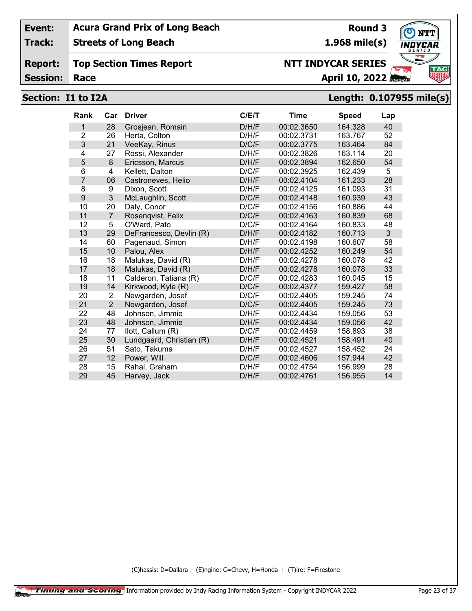**Track: Streets of Long Beach**

#### **Report: Top Section Times Report**

**Session:**

## **Race April 10, 2022**

## **Section: I1 to I2A Length: 0.107955 mile(s)**

| Rank           | Car            | <b>Driver</b>            | C/E/T | Time       | <b>Speed</b> | Lap |
|----------------|----------------|--------------------------|-------|------------|--------------|-----|
| 1              | 28             | Grosjean, Romain         | D/H/F | 00:02.3650 | 164.328      | 40  |
| $\overline{2}$ | 26             | Herta, Colton            | D/H/F | 00:02.3731 | 163.767      | 52  |
| 3              | 21             | VeeKay, Rinus            | D/C/F | 00:02.3775 | 163.464      | 84  |
| 4              | 27             | Rossi, Alexander         | D/H/F | 00:02.3826 | 163.114      | 20  |
| 5              | 8              | Ericsson, Marcus         | D/H/F | 00:02.3894 | 162.650      | 54  |
| 6              | 4              | Kellett, Dalton          | D/C/F | 00:02.3925 | 162.439      | 5   |
| $\overline{7}$ | 06             | Castroneves, Helio       | D/H/F | 00:02.4104 | 161.233      | 28  |
| 8              | 9              | Dixon, Scott             | D/H/F | 00:02.4125 | 161.093      | 31  |
| 9              | 3              | McLaughlin, Scott        | D/C/F | 00:02.4148 | 160.939      | 43  |
| 10             | 20             | Daly, Conor              | D/C/F | 00:02.4156 | 160.886      | 44  |
| 11             | $\overline{7}$ | Rosenqvist, Felix        | D/C/F | 00:02.4163 | 160.839      | 68  |
| 12             | 5              | O'Ward, Pato             | D/C/F | 00:02.4164 | 160.833      | 48  |
| 13             | 29             | DeFrancesco, Devlin (R)  | D/H/F | 00:02.4182 | 160.713      | 3   |
| 14             | 60             | Pagenaud, Simon          | D/H/F | 00:02.4198 | 160.607      | 58  |
| 15             | 10             | Palou, Alex              | D/H/F | 00:02.4252 | 160.249      | 54  |
| 16             | 18             | Malukas, David (R)       | D/H/F | 00:02.4278 | 160.078      | 42  |
| 17             | 18             | Malukas, David (R)       | D/H/F | 00:02.4278 | 160.078      | 33  |
| 18             | 11             | Calderon, Tatiana (R)    | D/C/F | 00:02.4283 | 160.045      | 15  |
| 19             | 14             | Kirkwood, Kyle (R)       | D/C/F | 00:02.4377 | 159.427      | 58  |
| 20             | $\overline{2}$ | Newgarden, Josef         | D/C/F | 00:02.4405 | 159.245      | 74  |
| 21             | $\overline{2}$ | Newgarden, Josef         | D/C/F | 00:02.4405 | 159.245      | 73  |
| 22             | 48             | Johnson, Jimmie          | D/H/F | 00:02.4434 | 159.056      | 53  |
| 23             | 48             | Johnson, Jimmie          | D/H/F | 00:02.4434 | 159.056      | 42  |
| 24             | 77             | llott, Callum (R)        | D/C/F | 00:02.4459 | 158.893      | 38  |
| 25             | 30             | Lundgaard, Christian (R) | D/H/F | 00:02.4521 | 158.491      | 40  |
| 26             | 51             | Sato, Takuma             | D/H/F | 00:02.4527 | 158.452      | 24  |
| 27             | 12             | Power, Will              | D/C/F | 00:02.4606 | 157.944      | 42  |
| 28             | 15             | Rahal, Graham            | D/H/F | 00:02.4754 | 156.999      | 28  |
| 29             | 45             | Harvey, Jack             | D/H/F | 00:02.4761 | 156.955      | 14  |

(C)hassis: D=Dallara | (E)ngine: C=Chevy, H=Honda | (T)ire: F=Firestone



**Round 3 1.968 mile(s)**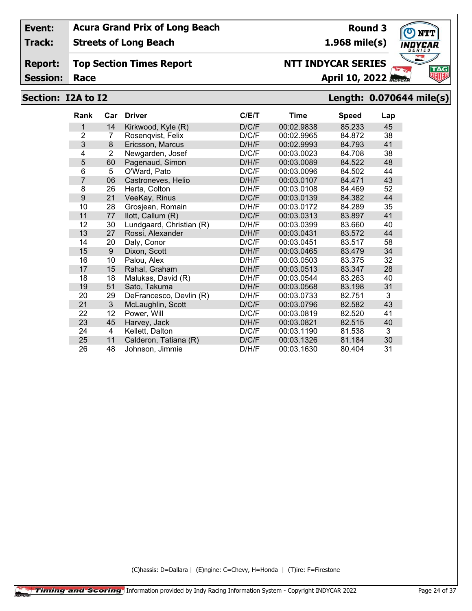**Track: Streets of Long Beach**

#### **Report: Top Section Times Report**

**Session:**

## **Section: I2A to I2 Length: 0.070644 mile(s)**

| <b>Rank</b>    | Car            | <b>Driver</b>            | C/ET  | Time       | <b>Speed</b> | Lap |
|----------------|----------------|--------------------------|-------|------------|--------------|-----|
| 1              | 14             | Kirkwood, Kyle (R)       | D/C/F | 00:02.9838 | 85.233       | 45  |
| $\overline{2}$ | 7              | Rosenqvist, Felix        | D/C/F | 00:02.9965 | 84.872       | 38  |
| 3              | 8              | Ericsson, Marcus         | D/H/F | 00:02.9993 | 84.793       | 41  |
| 4              | $\overline{2}$ | Newgarden, Josef         | D/C/F | 00:03.0023 | 84.708       | 38  |
| 5              | 60             | Pagenaud, Simon          | D/H/F | 00:03.0089 | 84.522       | 48  |
| 6              | 5              | O'Ward, Pato             | D/C/F | 00:03.0096 | 84.502       | 44  |
| $\overline{7}$ | 06             | Castroneves, Helio       | D/H/F | 00:03.0107 | 84.471       | 43  |
| 8              | 26             | Herta, Colton            | D/H/F | 00:03.0108 | 84.469       | 52  |
| 9              | 21             | VeeKay, Rinus            | D/C/F | 00:03.0139 | 84.382       | 44  |
| 10             | 28             | Grosjean, Romain         | D/H/F | 00:03.0172 | 84.289       | 35  |
| 11             | 77             | llott, Callum (R)        | D/C/F | 00:03.0313 | 83.897       | 41  |
| 12             | 30             | Lundgaard, Christian (R) | D/H/F | 00:03.0399 | 83.660       | 40  |
| 13             | 27             | Rossi, Alexander         | D/H/F | 00:03.0431 | 83.572       | 44  |
| 14             | 20             | Daly, Conor              | D/C/F | 00:03.0451 | 83.517       | 58  |
| 15             | 9              | Dixon, Scott             | D/H/F | 00:03.0465 | 83.479       | 34  |
| 16             | 10             | Palou, Alex              | D/H/F | 00:03.0503 | 83.375       | 32  |
| 17             | 15             | Rahal, Graham            | D/H/F | 00:03.0513 | 83.347       | 28  |
| 18             | 18             | Malukas, David (R)       | D/H/F | 00:03.0544 | 83.263       | 40  |
| 19             | 51             | Sato, Takuma             | D/H/F | 00:03.0568 | 83.198       | 31  |
| 20             | 29             | DeFrancesco, Devlin (R)  | D/H/F | 00:03.0733 | 82.751       | 3   |
| 21             | 3              | McLaughlin, Scott        | D/C/F | 00:03.0796 | 82.582       | 43  |
| 22             | 12             | Power, Will              | D/C/F | 00:03.0819 | 82.520       | 41  |
| 23             | 45             | Harvey, Jack             | D/H/F | 00:03.0821 | 82.515       | 40  |
| 24             | 4              | Kellett, Dalton          | D/C/F | 00:03.1190 | 81.538       | 3   |
| 25             | 11             | Calderon, Tatiana (R)    | D/C/F | 00:03.1326 | 81.184       | 30  |
| 26             | 48             | Johnson, Jimmie          | D/H/F | 00:03.1630 | 80.404       | 31  |

(C)hassis: D=Dallara | (E)ngine: C=Chevy, H=Honda | (T)ire: F=Firestone



**Round 3 1.968 mile(s)**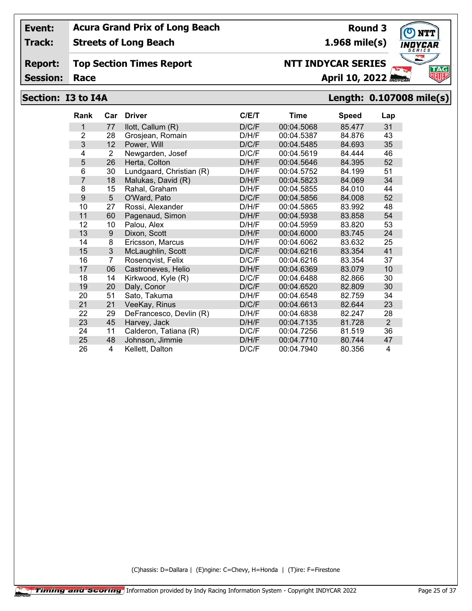**Track: Streets of Long Beach**

#### **Report: Top Section Times Report**

**Session:**

## **Section: I3 to I4A Length: 0.107008 mile(s)**

| <b>Rank</b>    | Car | <b>Driver</b>            | C/E/T | Time       | <b>Speed</b> | Lap            |
|----------------|-----|--------------------------|-------|------------|--------------|----------------|
| 1              | 77  | llott, Callum (R)        | D/C/F | 00:04.5068 | 85.477       | 31             |
| $\overline{2}$ | 28  | Grosjean, Romain         | D/H/F | 00:04.5387 | 84.876       | 43             |
| 3              | 12  | Power, Will              | D/C/F | 00:04.5485 | 84.693       | 35             |
| 4              | 2   | Newgarden, Josef         | D/C/F | 00:04.5619 | 84.444       | 46             |
| 5              | 26  | Herta, Colton            | D/H/F | 00:04.5646 | 84.395       | 52             |
| 6              | 30  | Lundgaard, Christian (R) | D/H/F | 00:04.5752 | 84.199       | 51             |
| 7              | 18  | Malukas, David (R)       | D/H/F | 00:04.5823 | 84.069       | 34             |
| 8              | 15  | Rahal, Graham            | D/H/F | 00:04.5855 | 84.010       | 44             |
| 9              | 5   | O'Ward, Pato             | D/C/F | 00:04.5856 | 84.008       | 52             |
| 10             | 27  | Rossi, Alexander         | D/H/F | 00:04.5865 | 83.992       | 48             |
| 11             | 60  | Pagenaud, Simon          | D/H/F | 00:04.5938 | 83.858       | 54             |
| 12             | 10  | Palou, Alex              | D/H/F | 00:04.5959 | 83.820       | 53             |
| 13             | 9   | Dixon, Scott             | D/H/F | 00:04.6000 | 83.745       | 24             |
| 14             | 8   | Ericsson, Marcus         | D/H/F | 00:04.6062 | 83.632       | 25             |
| 15             | 3   | McLaughlin, Scott        | D/C/F | 00:04.6216 | 83.354       | 41             |
| 16             | 7   | Rosenqvist, Felix        | D/C/F | 00:04.6216 | 83.354       | 37             |
| 17             | 06  | Castroneves, Helio       | D/H/F | 00:04.6369 | 83.079       | 10             |
| 18             | 14  | Kirkwood, Kyle (R)       | D/C/F | 00:04.6488 | 82.866       | 30             |
| 19             | 20  | Daly, Conor              | D/C/F | 00:04.6520 | 82.809       | 30             |
| 20             | 51  | Sato, Takuma             | D/H/F | 00:04.6548 | 82.759       | 34             |
| 21             | 21  | VeeKay, Rinus            | D/C/F | 00:04.6613 | 82.644       | 23             |
| 22             | 29  | DeFrancesco, Devlin (R)  | D/H/F | 00:04.6838 | 82.247       | 28             |
| 23             | 45  | Harvey, Jack             | D/H/F | 00:04.7135 | 81.728       | $\overline{2}$ |
| 24             | 11  | Calderon, Tatiana (R)    | D/C/F | 00:04.7256 | 81.519       | 36             |
| 25             | 48  | Johnson, Jimmie          | D/H/F | 00:04.7710 | 80.744       | 47             |
| 26             | 4   | Kellett, Dalton          | D/C/F | 00:04.7940 | 80.356       | 4              |

(C)hassis: D=Dallara | (E)ngine: C=Chevy, H=Honda | (T)ire: F=Firestone



**Round 3 1.968 mile(s)**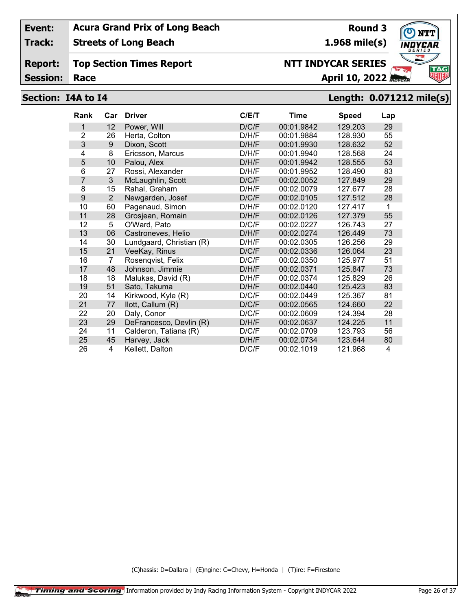**Track: Streets of Long Beach**

#### **Report: Top Section Times Report**

**Session:**

# **Race April 10, 2022**

**Round 3**

**1.968 mile(s)**

**NTT INDYCAR SERIES**

## **Section: I4A to I4 Length: 0.071212 mile(s)**

| <b>Rank</b>    | Car | <b>Driver</b>            | C/E/T | Time       | <b>Speed</b> | Lap |
|----------------|-----|--------------------------|-------|------------|--------------|-----|
| 1              | 12  | Power, Will              | D/C/F | 00:01.9842 | 129.203      | 29  |
| $\overline{2}$ | 26  | Herta, Colton            | D/H/F | 00:01.9884 | 128.930      | 55  |
| 3              | 9   | Dixon, Scott             | D/H/F | 00:01.9930 | 128.632      | 52  |
| 4              | 8   | Ericsson, Marcus         | D/H/F | 00:01.9940 | 128.568      | 24  |
| 5              | 10  | Palou, Alex              | D/H/F | 00:01.9942 | 128.555      | 53  |
| 6              | 27  | Rossi, Alexander         | D/H/F | 00:01.9952 | 128.490      | 83  |
| $\overline{7}$ | 3   | McLaughlin, Scott        | D/C/F | 00:02.0052 | 127.849      | 29  |
| 8              | 15  | Rahal, Graham            | D/H/F | 00:02.0079 | 127.677      | 28  |
| 9              | 2   | Newgarden, Josef         | D/C/F | 00:02.0105 | 127.512      | 28  |
| 10             | 60  | Pagenaud, Simon          | D/H/F | 00:02.0120 | 127.417      | 1   |
| 11             | 28  | Grosjean, Romain         | D/H/F | 00:02.0126 | 127.379      | 55  |
| 12             | 5   | O'Ward, Pato             | D/C/F | 00:02.0227 | 126.743      | 27  |
| 13             | 06  | Castroneves, Helio       | D/H/F | 00:02.0274 | 126.449      | 73  |
| 14             | 30  | Lundgaard, Christian (R) | D/H/F | 00:02.0305 | 126.256      | 29  |
| 15             | 21  | VeeKay, Rinus            | D/C/F | 00:02.0336 | 126.064      | 23  |
| 16             | 7   | Rosenqvist, Felix        | D/C/F | 00:02.0350 | 125.977      | 51  |
| 17             | 48  | Johnson, Jimmie          | D/H/F | 00:02.0371 | 125.847      | 73  |
| 18             | 18  | Malukas, David (R)       | D/H/F | 00:02.0374 | 125.829      | 26  |
| 19             | 51  | Sato, Takuma             | D/H/F | 00:02.0440 | 125.423      | 83  |
| 20             | 14  | Kirkwood, Kyle (R)       | D/C/F | 00:02.0449 | 125.367      | 81  |
| 21             | 77  | llott, Callum (R)        | D/C/F | 00:02.0565 | 124.660      | 22  |
| 22             | 20  | Daly, Conor              | D/C/F | 00:02.0609 | 124.394      | 28  |
| 23             | 29  | DeFrancesco, Devlin (R)  | D/H/F | 00:02.0637 | 124.225      | 11  |
| 24             | 11  | Calderon, Tatiana (R)    | D/C/F | 00:02.0709 | 123.793      | 56  |
| 25             | 45  | Harvey, Jack             | D/H/F | 00:02.0734 | 123.644      | 80  |
| 26             | 4   | Kellett, Dalton          | D/C/F | 00:02.1019 | 121.968      | 4   |

(C)hassis: D=Dallara | (E)ngine: C=Chevy, H=Honda | (T)ire: F=Firestone

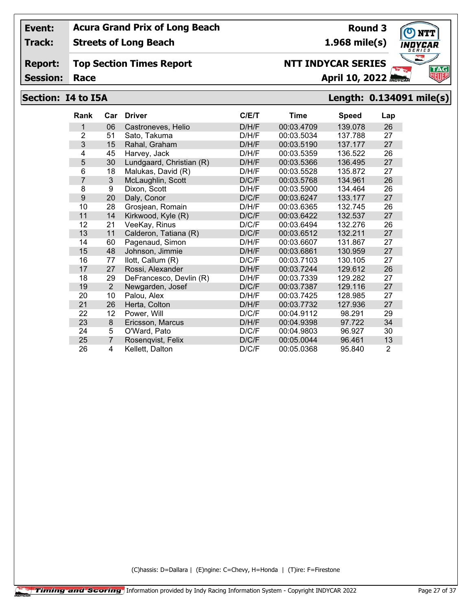**Track: Streets of Long Beach**

#### **Report: Top Section Times Report**

**Session:**

## **Section: I4 to I5A Length: 0.134091 mile(s)**

| <b>Rank</b>    | Car              | <b>Driver</b>            | C/E/T | Time       | <b>Speed</b> | Lap            |
|----------------|------------------|--------------------------|-------|------------|--------------|----------------|
| 1              | 06               | Castroneves, Helio       | D/H/F | 00:03.4709 | 139.078      | 26             |
| $\overline{2}$ | 51               | Sato, Takuma             | D/H/F | 00:03.5034 | 137.788      | 27             |
| 3              | 15               | Rahal, Graham            | D/H/F | 00:03.5190 | 137.177      | 27             |
| 4              | 45               | Harvey, Jack             | D/H/F | 00:03.5359 | 136.522      | 26             |
| 5              | 30               | Lundgaard, Christian (R) | D/H/F | 00:03.5366 | 136.495      | 27             |
| 6              | 18               | Malukas, David (R)       | D/H/F | 00:03.5528 | 135.872      | 27             |
| 7              | 3                | McLaughlin, Scott        | D/C/F | 00:03.5768 | 134.961      | 26             |
| 8              | 9                | Dixon, Scott             | D/H/F | 00:03.5900 | 134.464      | 26             |
| 9              | 20               | Daly, Conor              | D/C/F | 00:03.6247 | 133.177      | 27             |
| 10             | 28               | Grosjean, Romain         | D/H/F | 00:03.6365 | 132.745      | 26             |
| 11             | 14               | Kirkwood, Kyle (R)       | D/C/F | 00:03.6422 | 132.537      | 27             |
| 12             | 21               | VeeKay, Rinus            | D/C/F | 00:03.6494 | 132.276      | 26             |
| 13             | 11               | Calderon, Tatiana (R)    | D/C/F | 00:03.6512 | 132.211      | 27             |
| 14             | 60               | Pagenaud, Simon          | D/H/F | 00:03.6607 | 131.867      | 27             |
| 15             | 48               | Johnson, Jimmie          | D/H/F | 00:03.6861 | 130.959      | 27             |
| 16             | 77               | llott, Callum (R)        | D/C/F | 00:03.7103 | 130.105      | 27             |
| 17             | 27               | Rossi, Alexander         | D/H/F | 00:03.7244 | 129.612      | 26             |
| 18             | 29               | DeFrancesco, Devlin (R)  | D/H/F | 00:03.7339 | 129.282      | 27             |
| 19             | 2                | Newgarden, Josef         | D/C/F | 00:03.7387 | 129.116      | 27             |
| 20             | 10               | Palou, Alex              | D/H/F | 00:03.7425 | 128.985      | 27             |
| 21             | 26               | Herta, Colton            | D/H/F | 00:03.7732 | 127.936      | 27             |
| 22             | 12               | Power, Will              | D/C/F | 00:04.9112 | 98.291       | 29             |
| 23             | $\boldsymbol{8}$ | Ericsson, Marcus         | D/H/F | 00:04.9398 | 97.722       | 34             |
| 24             | 5                | O'Ward, Pato             | D/C/F | 00:04.9803 | 96.927       | 30             |
| 25             | $\overline{7}$   | Rosenqvist, Felix        | D/C/F | 00:05.0044 | 96.461       | 13             |
| 26             | 4                | Kellett, Dalton          | D/C/F | 00:05.0368 | 95.840       | $\overline{2}$ |

(C)hassis: D=Dallara | (E)ngine: C=Chevy, H=Honda | (T)ire: F=Firestone



**Round 3 1.968 mile(s)**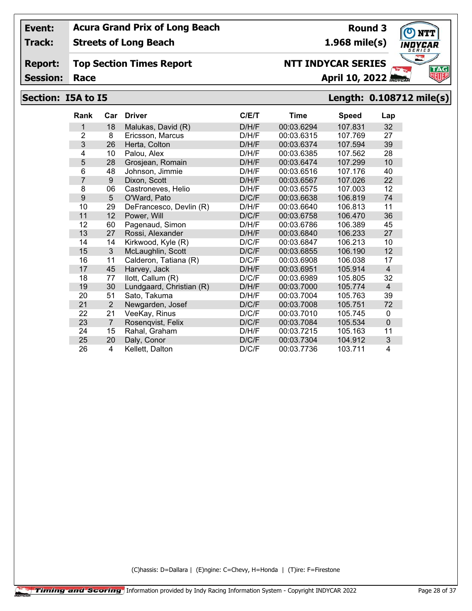**Track: Streets of Long Beach**

#### **Report: Top Section Times Report**

**Session:**

## **NTT INDYCAR SERIES**

**Race April 10, 2022**

## **Section: I5A to I5 Length: 0.108712 mile(s)**

| <b>Rank</b>    | Car            | <b>Driver</b>            | C/ET  | Time       | <b>Speed</b> | Lap            |
|----------------|----------------|--------------------------|-------|------------|--------------|----------------|
| 1              | 18             | Malukas, David (R)       | D/H/F | 00:03.6294 | 107.831      | 32             |
| $\overline{2}$ | 8              | Ericsson, Marcus         | D/H/F | 00:03.6315 | 107.769      | 27             |
| 3              | 26             | Herta, Colton            | D/H/F | 00:03.6374 | 107.594      | 39             |
| 4              | 10             | Palou, Alex              | D/H/F | 00:03.6385 | 107.562      | 28             |
| 5              | 28             | Grosjean, Romain         | D/H/F | 00:03.6474 | 107.299      | 10             |
| 6              | 48             | Johnson, Jimmie          | D/H/F | 00:03.6516 | 107.176      | 40             |
| 7              | 9              | Dixon, Scott             | D/H/F | 00:03.6567 | 107.026      | 22             |
| 8              | 06             | Castroneves, Helio       | D/H/F | 00:03.6575 | 107.003      | 12             |
| 9              | 5              | O'Ward, Pato             | D/C/F | 00:03.6638 | 106.819      | 74             |
| 10             | 29             | DeFrancesco, Devlin (R)  | D/H/F | 00:03.6640 | 106.813      | 11             |
| 11             | 12             | Power, Will              | D/C/F | 00:03.6758 | 106.470      | 36             |
| 12             | 60             | Pagenaud, Simon          | D/H/F | 00:03.6786 | 106.389      | 45             |
| 13             | 27             | Rossi, Alexander         | D/H/F | 00:03.6840 | 106.233      | 27             |
| 14             | 14             | Kirkwood, Kyle (R)       | D/C/F | 00:03.6847 | 106.213      | 10             |
| 15             | 3              | McLaughlin, Scott        | D/C/F | 00:03.6855 | 106.190      | 12             |
| 16             | 11             | Calderon, Tatiana (R)    | D/C/F | 00:03.6908 | 106.038      | 17             |
| 17             | 45             | Harvey, Jack             | D/H/F | 00:03.6951 | 105.914      | $\overline{4}$ |
| 18             | 77             | llott, Callum (R)        | D/C/F | 00:03.6989 | 105.805      | 32             |
| 19             | 30             | Lundgaard, Christian (R) | D/H/F | 00:03.7000 | 105.774      | $\overline{4}$ |
| 20             | 51             | Sato, Takuma             | D/H/F | 00:03.7004 | 105.763      | 39             |
| 21             | $\overline{2}$ | Newgarden, Josef         | D/C/F | 00:03.7008 | 105.751      | 72             |
| 22             | 21             | VeeKay, Rinus            | D/C/F | 00:03.7010 | 105.745      | 0              |
| 23             | $\overline{7}$ | Rosenqvist, Felix        | D/C/F | 00:03.7084 | 105.534      | $\overline{0}$ |
| 24             | 15             | Rahal, Graham            | D/H/F | 00:03.7215 | 105.163      | 11             |
| 25             | 20             | Daly, Conor              | D/C/F | 00:03.7304 | 104.912      | 3              |
| 26             | 4              | Kellett, Dalton          | D/C/F | 00:03.7736 | 103.711      | 4              |

(C)hassis: D=Dallara | (E)ngine: C=Chevy, H=Honda | (T)ire: F=Firestone



## **Round 3**

**1.968 mile(s)**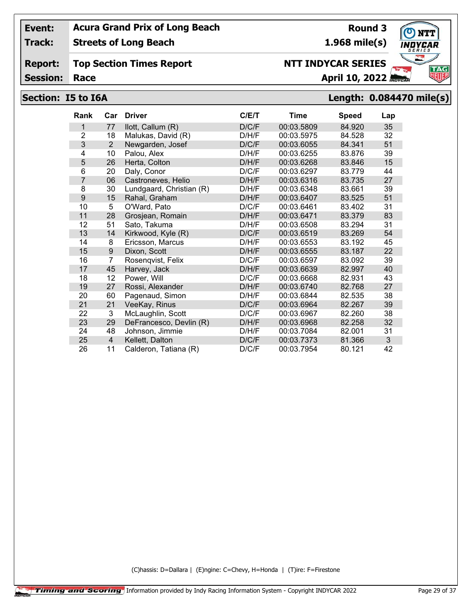**Track: Streets of Long Beach**

**Report: Top Section Times Report**

**Session:**

## **Section: I5 to I6A Length: 0.084470 mile(s)**

| <b>Rank</b>    | Car            | <b>Driver</b>            | C/E/T | <b>Time</b> | <b>Speed</b> | Lap |
|----------------|----------------|--------------------------|-------|-------------|--------------|-----|
| 1              | 77             | llott, Callum (R)        | D/C/F | 00:03.5809  | 84.920       | 35  |
| $\overline{2}$ | 18             | Malukas, David (R)       | D/H/F | 00:03.5975  | 84.528       | 32  |
| 3              | $\overline{2}$ | Newgarden, Josef         | D/C/F | 00:03.6055  | 84.341       | 51  |
| 4              | 10             | Palou, Alex              | D/H/F | 00:03.6255  | 83.876       | 39  |
| 5              | 26             | Herta, Colton            | D/H/F | 00:03.6268  | 83.846       | 15  |
| 6              | 20             | Daly, Conor              | D/C/F | 00:03.6297  | 83.779       | 44  |
| $\overline{7}$ | 06             | Castroneves, Helio       | D/H/F | 00:03.6316  | 83.735       | 27  |
| 8              | 30             | Lundgaard, Christian (R) | D/H/F | 00:03.6348  | 83.661       | 39  |
| 9              | 15             | Rahal, Graham            | D/H/F | 00:03.6407  | 83.525       | 51  |
| 10             | 5              | O'Ward, Pato             | D/C/F | 00:03.6461  | 83.402       | 31  |
| 11             | 28             | Grosjean, Romain         | D/H/F | 00:03.6471  | 83.379       | 83  |
| 12             | 51             | Sato, Takuma             | D/H/F | 00:03.6508  | 83.294       | 31  |
| 13             | 14             | Kirkwood, Kyle (R)       | D/C/F | 00:03.6519  | 83.269       | 54  |
| 14             | 8              | Ericsson, Marcus         | D/H/F | 00:03.6553  | 83.192       | 45  |
| 15             | 9              | Dixon, Scott             | D/H/F | 00:03.6555  | 83.187       | 22  |
| 16             | 7              | Rosenqvist, Felix        | D/C/F | 00:03.6597  | 83.092       | 39  |
| 17             | 45             | Harvey, Jack             | D/H/F | 00:03.6639  | 82.997       | 40  |
| 18             | 12             | Power, Will              | D/C/F | 00:03.6668  | 82.931       | 43  |
| 19             | 27             | Rossi, Alexander         | D/H/F | 00:03.6740  | 82.768       | 27  |
| 20             | 60             | Pagenaud, Simon          | D/H/F | 00:03.6844  | 82.535       | 38  |
| 21             | 21             | VeeKay, Rinus            | D/C/F | 00:03.6964  | 82.267       | 39  |
| 22             | 3              | McLaughlin, Scott        | D/C/F | 00:03.6967  | 82.260       | 38  |
| 23             | 29             | DeFrancesco, Devlin (R)  | D/H/F | 00:03.6968  | 82.258       | 32  |
| 24             | 48             | Johnson, Jimmie          | D/H/F | 00:03.7084  | 82.001       | 31  |
| 25             | $\overline{4}$ | Kellett, Dalton          | D/C/F | 00:03.7373  | 81.366       | 3   |
| 26             | 11             | Calderon, Tatiana (R)    | D/C/F | 00:03.7954  | 80.121       | 42  |

(C)hassis: D=Dallara | (E)ngine: C=Chevy, H=Honda | (T)ire: F=Firestone



**1.968 mile(s)**

**Race April 10, 2022**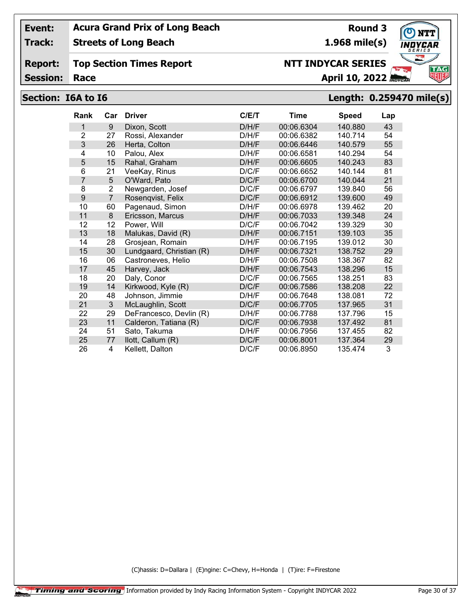**Track: Streets of Long Beach**

#### **Report: Top Section Times Report**

**Session:**

# **Section: I6A to I6 Length: 0.259470 mile(s)**

| <b>Rank</b>    | Car            | <b>Driver</b>            | C/E/T | Time       | <b>Speed</b> | Lap |
|----------------|----------------|--------------------------|-------|------------|--------------|-----|
| 1              | 9              | Dixon, Scott             | D/H/F | 00:06.6304 | 140.880      | 43  |
| $\overline{2}$ | 27             | Rossi, Alexander         | D/H/F | 00:06.6382 | 140.714      | 54  |
| 3              | 26             | Herta, Colton            | D/H/F | 00:06.6446 | 140.579      | 55  |
| 4              | 10             | Palou, Alex              | D/H/F | 00:06.6581 | 140.294      | 54  |
| 5              | 15             | Rahal, Graham            | D/H/F | 00:06.6605 | 140.243      | 83  |
| 6              | 21             | VeeKay, Rinus            | D/C/F | 00:06.6652 | 140.144      | 81  |
| $\overline{7}$ | 5              | O'Ward, Pato             | D/C/F | 00:06.6700 | 140.044      | 21  |
| 8              | 2              | Newgarden, Josef         | D/C/F | 00:06.6797 | 139.840      | 56  |
| 9              | $\overline{7}$ | Rosenqvist, Felix        | D/C/F | 00:06.6912 | 139.600      | 49  |
| 10             | 60             | Pagenaud, Simon          | D/H/F | 00:06.6978 | 139.462      | 20  |
| 11             | 8              | Ericsson, Marcus         | D/H/F | 00:06.7033 | 139.348      | 24  |
| 12             | 12             | Power, Will              | D/C/F | 00:06.7042 | 139.329      | 30  |
| 13             | 18             | Malukas, David (R)       | D/H/F | 00:06.7151 | 139.103      | 35  |
| 14             | 28             | Grosjean, Romain         | D/H/F | 00:06.7195 | 139.012      | 30  |
| 15             | 30             | Lundgaard, Christian (R) | D/H/F | 00:06.7321 | 138.752      | 29  |
| 16             | 06             | Castroneves, Helio       | D/H/F | 00:06.7508 | 138.367      | 82  |
| 17             | 45             | Harvey, Jack             | D/H/F | 00:06.7543 | 138.296      | 15  |
| 18             | 20             | Daly, Conor              | D/C/F | 00:06.7565 | 138.251      | 83  |
| 19             | 14             | Kirkwood, Kyle (R)       | D/C/F | 00:06.7586 | 138.208      | 22  |
| 20             | 48             | Johnson, Jimmie          | D/H/F | 00:06.7648 | 138.081      | 72  |
| 21             | 3              | McLaughlin, Scott        | D/C/F | 00:06.7705 | 137.965      | 31  |
| 22             | 29             | DeFrancesco, Devlin (R)  | D/H/F | 00:06.7788 | 137.796      | 15  |
| 23             | 11             | Calderon, Tatiana (R)    | D/C/F | 00:06.7938 | 137.492      | 81  |
| 24             | 51             | Sato, Takuma             | D/H/F | 00:06.7956 | 137.455      | 82  |
| 25             | 77             | llott, Callum (R)        | D/C/F | 00:06.8001 | 137.364      | 29  |
| 26             | 4              | Kellett, Dalton          | D/C/F | 00:06.8950 | 135.474      | 3   |

(C)hassis: D=Dallara | (E)ngine: C=Chevy, H=Honda | (T)ire: F=Firestone



**Round 3 1.968 mile(s)**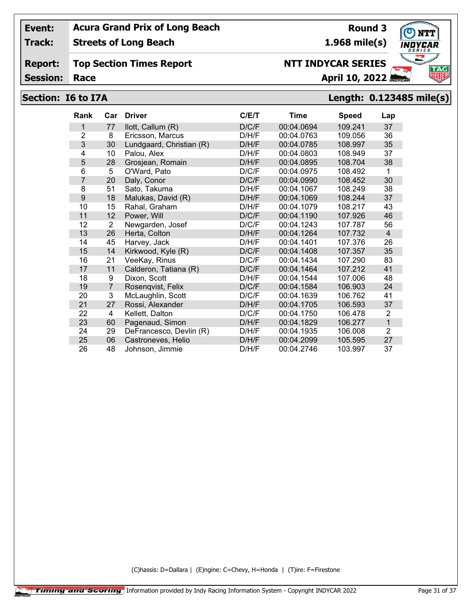**Track: Streets of Long Beach**

#### **Report: Top Section Times Report**

**Session:**

## **Race April 10, 2022 NTT INDYCAR SERIES**

# **Section: I6 to I7A Length: 0.123485 mile(s)**

| <b>Rank</b>    | Car            | <b>Driver</b>            | C/E/T | <b>Time</b> | <b>Speed</b> | Lap            |
|----------------|----------------|--------------------------|-------|-------------|--------------|----------------|
| 1              | 77             | llott, Callum (R)        | D/C/F | 00:04.0694  | 109.241      | 37             |
| $\overline{2}$ | 8              | Ericsson, Marcus         | D/H/F | 00:04.0763  | 109.056      | 36             |
| 3              | 30             | Lundgaard, Christian (R) | D/H/F | 00:04.0785  | 108.997      | 35             |
| 4              | 10             | Palou, Alex              | D/H/F | 00:04.0803  | 108.949      | 37             |
| 5              | 28             | Grosjean, Romain         | D/H/F | 00:04.0895  | 108.704      | 38             |
| 6              | 5              | O'Ward, Pato             | D/C/F | 00:04.0975  | 108.492      | 1              |
| $\overline{7}$ | 20             | Daly, Conor              | D/C/F | 00:04.0990  | 108.452      | 30             |
| 8              | 51             | Sato, Takuma             | D/H/F | 00:04.1067  | 108.249      | 38             |
| 9              | 18             | Malukas, David (R)       | D/H/F | 00:04.1069  | 108.244      | 37             |
| 10             | 15             | Rahal, Graham            | D/H/F | 00:04.1079  | 108.217      | 43             |
| 11             | 12             | Power, Will              | D/C/F | 00:04.1190  | 107.926      | 46             |
| 12             | 2              | Newgarden, Josef         | D/C/F | 00:04.1243  | 107.787      | 56             |
| 13             | 26             | Herta, Colton            | D/H/F | 00:04.1264  | 107.732      | $\overline{4}$ |
| 14             | 45             | Harvey, Jack             | D/H/F | 00:04.1401  | 107.376      | 26             |
| 15             | 14             | Kirkwood, Kyle (R)       | D/C/F | 00:04.1408  | 107.357      | 35             |
| 16             | 21             | VeeKay, Rinus            | D/C/F | 00:04.1434  | 107.290      | 83             |
| 17             | 11             | Calderon, Tatiana (R)    | D/C/F | 00:04.1464  | 107.212      | 41             |
| 18             | 9              | Dixon, Scott             | D/H/F | 00:04.1544  | 107.006      | 48             |
| 19             | $\overline{7}$ | Rosenqvist, Felix        | D/C/F | 00:04.1584  | 106.903      | 24             |
| 20             | 3              | McLaughlin, Scott        | D/C/F | 00:04.1639  | 106.762      | 41             |
| 21             | 27             | Rossi, Alexander         | D/H/F | 00:04.1705  | 106.593      | 37             |
| 22             | 4              | Kellett, Dalton          | D/C/F | 00:04.1750  | 106.478      | 2              |
| 23             | 60             | Pagenaud, Simon          | D/H/F | 00:04.1829  | 106.277      | $\overline{1}$ |
| 24             | 29             | DeFrancesco, Devlin (R)  | D/H/F | 00:04.1935  | 106.008      | $\overline{2}$ |
| 25             | 06             | Castroneves, Helio       | D/H/F | 00:04.2099  | 105.595      | 27             |
| 26             | 48             | Johnson, Jimmie          | D/H/F | 00:04.2746  | 103.997      | 37             |

(C)hassis: D=Dallara | (E)ngine: C=Chevy, H=Honda | (T)ire: F=Firestone



**Round 3 1.968 mile(s)**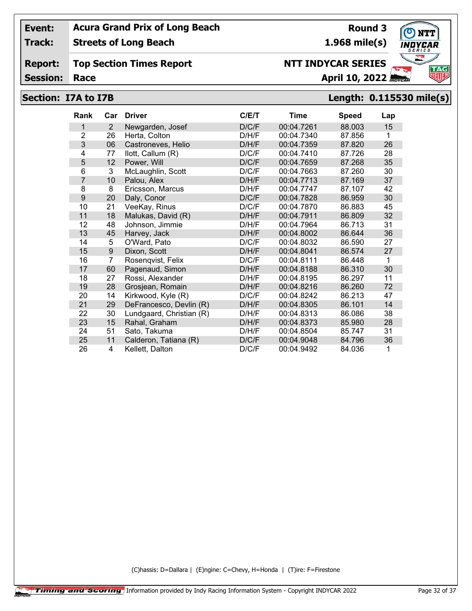**Track: Streets of Long Beach**

#### **Report: Top Section Times Report**

**Session:**

## **Race April 10, 2022**

**NTT INDYCAR SERIES**

## **Section: I7A to I7B Length: 0.115530 mile(s)**

| <b>Rank</b>    | Car            | <b>Driver</b>            | C/E/T | Time       | <b>Speed</b> | Lap |
|----------------|----------------|--------------------------|-------|------------|--------------|-----|
| 1              | 2              | Newgarden, Josef         | D/C/F | 00:04.7261 | 88.003       | 15  |
| $\overline{2}$ | 26             | Herta, Colton            | D/H/F | 00:04.7340 | 87.856       | 1   |
| 3              | 06             | Castroneves, Helio       | D/H/F | 00:04.7359 | 87.820       | 26  |
| 4              | 77             | llott, Callum (R)        | D/C/F | 00:04.7410 | 87.726       | 28  |
| 5              | 12             | Power, Will              | D/C/F | 00:04.7659 | 87.268       | 35  |
| 6              | 3              | McLaughlin, Scott        | D/C/F | 00:04.7663 | 87.260       | 30  |
| 7              | 10             | Palou, Alex              | D/H/F | 00:04.7713 | 87.169       | 37  |
| 8              | 8              | Ericsson, Marcus         | D/H/F | 00:04.7747 | 87.107       | 42  |
| 9              | 20             | Daly, Conor              | D/C/F | 00:04.7828 | 86.959       | 30  |
| 10             | 21             | VeeKay, Rinus            | D/C/F | 00:04.7870 | 86.883       | 45  |
| 11             | 18             | Malukas, David (R)       | D/H/F | 00:04.7911 | 86.809       | 32  |
| 12             | 48             | Johnson, Jimmie          | D/H/F | 00:04.7964 | 86.713       | 31  |
| 13             | 45             | Harvey, Jack             | D/H/F | 00:04.8002 | 86.644       | 36  |
| 14             | 5              | O'Ward, Pato             | D/C/F | 00:04.8032 | 86.590       | 27  |
| 15             | 9              | Dixon, Scott             | D/H/F | 00:04.8041 | 86.574       | 27  |
| 16             | $\overline{7}$ | Rosenqvist, Felix        | D/C/F | 00:04.8111 | 86.448       | 1   |
| 17             | 60             | Pagenaud, Simon          | D/H/F | 00:04.8188 | 86.310       | 30  |
| 18             | 27             | Rossi, Alexander         | D/H/F | 00:04.8195 | 86.297       | 11  |
| 19             | 28             | Grosjean, Romain         | D/H/F | 00:04.8216 | 86.260       | 72  |
| 20             | 14             | Kirkwood, Kyle (R)       | D/C/F | 00:04.8242 | 86.213       | 47  |
| 21             | 29             | DeFrancesco, Devlin (R)  | D/H/F | 00:04.8305 | 86.101       | 14  |
| 22             | 30             | Lundgaard, Christian (R) | D/H/F | 00:04.8313 | 86.086       | 38  |
| 23             | 15             | Rahal, Graham            | D/H/F | 00:04.8373 | 85.980       | 28  |
| 24             | 51             | Sato, Takuma             | D/H/F | 00:04.8504 | 85.747       | 31  |
| 25             | 11             | Calderon, Tatiana (R)    | D/C/F | 00:04.9048 | 84.796       | 36  |
| 26             | 4              | Kellett, Dalton          | D/C/F | 00:04.9492 | 84.036       | 1   |

(C)hassis: D=Dallara | (E)ngine: C=Chevy, H=Honda | (T)ire: F=Firestone



**Round 3 1.968 mile(s)**

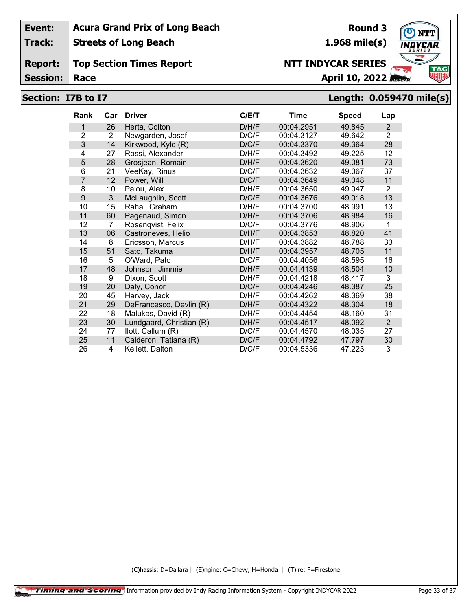**Track: Streets of Long Beach**

#### **Report: Top Section Times Report**

**Session:**

## **Race April 10, 2022**

## **Section: I7B to I7 Length: 0.059470 mile(s)**

| <b>Rank</b>    | Car            | <b>Driver</b>            | C/E/T | Time       | <b>Speed</b> | Lap            |
|----------------|----------------|--------------------------|-------|------------|--------------|----------------|
| 1              | 26             | Herta, Colton            | D/H/F | 00:04.2951 | 49.845       | 2              |
| $\overline{2}$ | $\overline{2}$ | Newgarden, Josef         | D/C/F | 00:04.3127 | 49.642       | $\overline{2}$ |
| 3              | 14             | Kirkwood, Kyle (R)       | D/C/F | 00:04.3370 | 49.364       | 28             |
| 4              | 27             | Rossi, Alexander         | D/H/F | 00:04.3492 | 49.225       | 12             |
| 5              | 28             | Grosjean, Romain         | D/H/F | 00:04.3620 | 49.081       | 73             |
| 6              | 21             | VeeKay, Rinus            | D/C/F | 00:04.3632 | 49.067       | 37             |
| $\overline{7}$ | 12             | Power, Will              | D/C/F | 00:04.3649 | 49.048       | 11             |
| 8              | 10             | Palou, Alex              | D/H/F | 00:04.3650 | 49.047       | 2              |
| 9              | 3              | McLaughlin, Scott        | D/C/F | 00:04.3676 | 49.018       | 13             |
| 10             | 15             | Rahal, Graham            | D/H/F | 00:04.3700 | 48.991       | 13             |
| 11             | 60             | Pagenaud, Simon          | D/H/F | 00:04.3706 | 48.984       | 16             |
| 12             | 7              | Rosenqvist, Felix        | D/C/F | 00:04.3776 | 48.906       | 1              |
| 13             | 06             | Castroneves, Helio       | D/H/F | 00:04.3853 | 48.820       | 41             |
| 14             | 8              | Ericsson, Marcus         | D/H/F | 00:04.3882 | 48.788       | 33             |
| 15             | 51             | Sato, Takuma             | D/H/F | 00:04.3957 | 48.705       | 11             |
| 16             | 5              | O'Ward, Pato             | D/C/F | 00:04.4056 | 48.595       | 16             |
| 17             | 48             | Johnson, Jimmie          | D/H/F | 00:04.4139 | 48.504       | 10             |
| 18             | 9              | Dixon, Scott             | D/H/F | 00:04.4218 | 48.417       | 3              |
| 19             | 20             | Daly, Conor              | D/C/F | 00:04.4246 | 48.387       | 25             |
| 20             | 45             | Harvey, Jack             | D/H/F | 00:04.4262 | 48.369       | 38             |
| 21             | 29             | DeFrancesco, Devlin (R)  | D/H/F | 00:04.4322 | 48.304       | 18             |
| 22             | 18             | Malukas, David (R)       | D/H/F | 00:04.4454 | 48.160       | 31             |
| 23             | 30             | Lundgaard, Christian (R) | D/H/F | 00:04.4517 | 48.092       | $\overline{2}$ |
| 24             | 77             | llott, Callum (R)        | D/C/F | 00:04.4570 | 48.035       | 27             |
| 25             | 11             | Calderon, Tatiana (R)    | D/C/F | 00:04.4792 | 47.797       | 30             |
| 26             | $\overline{4}$ | Kellett, Dalton          | D/C/F | 00:04.5336 | 47.223       | 3              |

(C)hassis: D=Dallara | (E)ngine: C=Chevy, H=Honda | (T)ire: F=Firestone



## **Round 3**

**NTT INDYCAR SERIES**

**1.968 mile(s)**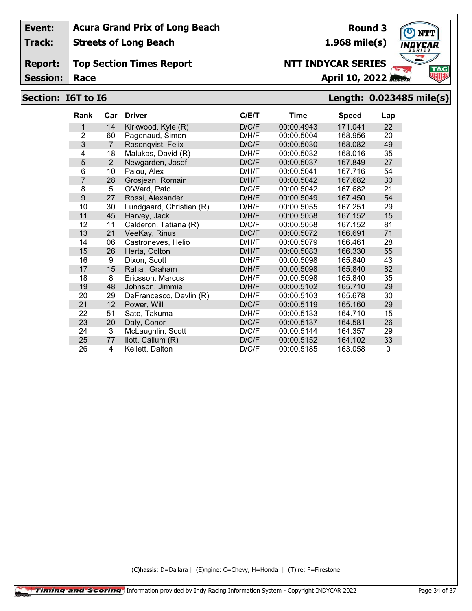**Track: Streets of Long Beach**

**Report: Top Section Times Report**

**Session:**

# **Section: I6T to I6 Length: 0.023485 mile(s)**

| <b>Rank</b>    | Car            | <b>Driver</b>            | C/E/T | <b>Time</b> | <b>Speed</b> | Lap |
|----------------|----------------|--------------------------|-------|-------------|--------------|-----|
| 1              | 14             | Kirkwood, Kyle (R)       | D/C/F | 00:00.4943  | 171.041      | 22  |
| $\overline{2}$ | 60             | Pagenaud, Simon          | D/H/F | 00:00.5004  | 168.956      | 20  |
| 3              | $\overline{7}$ | Rosenqvist, Felix        | D/C/F | 00:00.5030  | 168.082      | 49  |
| 4              | 18             | Malukas, David (R)       | D/H/F | 00:00.5032  | 168.016      | 35  |
| 5              | $\overline{2}$ | Newgarden, Josef         | D/C/F | 00:00.5037  | 167.849      | 27  |
| 6              | 10             | Palou, Alex              | D/H/F | 00:00.5041  | 167.716      | 54  |
| $\overline{7}$ | 28             | Grosjean, Romain         | D/H/F | 00:00.5042  | 167.682      | 30  |
| 8              | 5              | O'Ward, Pato             | D/C/F | 00:00.5042  | 167.682      | 21  |
| 9              | 27             | Rossi, Alexander         | D/H/F | 00:00.5049  | 167.450      | 54  |
| 10             | 30             | Lundgaard, Christian (R) | D/H/F | 00:00.5055  | 167.251      | 29  |
| 11             | 45             | Harvey, Jack             | D/H/F | 00:00.5058  | 167.152      | 15  |
| 12             | 11             | Calderon, Tatiana (R)    | D/C/F | 00:00.5058  | 167.152      | 81  |
| 13             | 21             | VeeKay, Rinus            | D/C/F | 00:00.5072  | 166.691      | 71  |
| 14             | 06             | Castroneves, Helio       | D/H/F | 00:00.5079  | 166.461      | 28  |
| 15             | 26             | Herta, Colton            | D/H/F | 00:00.5083  | 166.330      | 55  |
| 16             | 9              | Dixon, Scott             | D/H/F | 00:00.5098  | 165.840      | 43  |
| 17             | 15             | Rahal, Graham            | D/H/F | 00:00.5098  | 165.840      | 82  |
| 18             | 8              | Ericsson, Marcus         | D/H/F | 00:00.5098  | 165.840      | 35  |
| 19             | 48             | Johnson, Jimmie          | D/H/F | 00:00.5102  | 165.710      | 29  |
| 20             | 29             | DeFrancesco, Devlin (R)  | D/H/F | 00:00.5103  | 165.678      | 30  |
| 21             | 12             | Power, Will              | D/C/F | 00:00.5119  | 165.160      | 29  |
| 22             | 51             | Sato, Takuma             | D/H/F | 00:00.5133  | 164.710      | 15  |
| 23             | 20             | Daly, Conor              | D/C/F | 00:00.5137  | 164.581      | 26  |
| 24             | 3              | McLaughlin, Scott        | D/C/F | 00:00.5144  | 164.357      | 29  |
| 25             | 77             | llott, Callum (R)        | D/C/F | 00:00.5152  | 164.102      | 33  |
| 26             | 4              | Kellett, Dalton          | D/C/F | 00:00.5185  | 163.058      | 0   |

(C)hassis: D=Dallara | (E)ngine: C=Chevy, H=Honda | (T)ire: F=Firestone



**Round 3 1.968 mile(s)**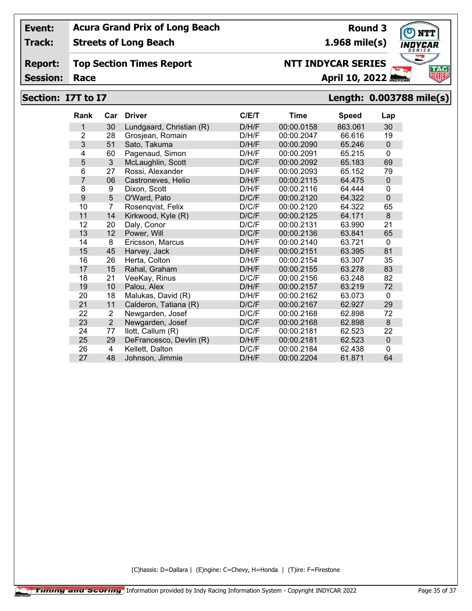**Track: Streets of Long Beach**

#### **Report: Top Section Times Report**

**Session:**

## **Section: I7T to I7 Length: 0.003788 mile(s)**

| <b>Rank</b>    | Car            | <b>Driver</b>            | C/ET  | Time       | <b>Speed</b> | Lap         |
|----------------|----------------|--------------------------|-------|------------|--------------|-------------|
| 1              | 30             | Lundgaard, Christian (R) | D/H/F | 00:00.0158 | 863.061      | 30          |
| $\overline{2}$ | 28             | Grosjean, Romain         | D/H/F | 00:00.2047 | 66.616       | 19          |
| 3              | 51             | Sato, Takuma             | D/H/F | 00:00.2090 | 65.246       | $\mathbf 0$ |
| 4              | 60             | Pagenaud, Simon          | D/H/F | 00:00.2091 | 65.215       | 0           |
| 5              | 3              | McLaughlin, Scott        | D/C/F | 00:00.2092 | 65.183       | 69          |
| 6              | 27             | Rossi, Alexander         | D/H/F | 00:00.2093 | 65.152       | 79          |
| $\overline{7}$ | 06             | Castroneves, Helio       | D/H/F | 00:00.2115 | 64.475       | 0           |
| 8              | 9              | Dixon, Scott             | D/H/F | 00:00.2116 | 64.444       | 0           |
| 9              | 5              | O'Ward, Pato             | D/C/F | 00:00.2120 | 64.322       | $\mathbf 0$ |
| 10             | $\overline{7}$ | Rosenqvist, Felix        | D/C/F | 00:00.2120 | 64.322       | 65          |
| 11             | 14             | Kirkwood, Kyle (R)       | D/C/F | 00:00.2125 | 64.171       | 8           |
| 12             | 20             | Daly, Conor              | D/C/F | 00:00.2131 | 63.990       | 21          |
| 13             | 12             | Power, Will              | D/C/F | 00:00.2136 | 63.841       | 65          |
| 14             | 8              | Ericsson, Marcus         | D/H/F | 00:00.2140 | 63.721       | 0           |
| 15             | 45             | Harvey, Jack             | D/H/F | 00:00.2151 | 63.395       | 81          |
| 16             | 26             | Herta, Colton            | D/H/F | 00:00.2154 | 63.307       | 35          |
| 17             | 15             | Rahal, Graham            | D/H/F | 00:00.2155 | 63.278       | 83          |
| 18             | 21             | VeeKay, Rinus            | D/C/F | 00:00.2156 | 63.248       | 82          |
| 19             | 10             | Palou, Alex              | D/H/F | 00:00.2157 | 63.219       | 72          |
| 20             | 18             | Malukas, David (R)       | D/H/F | 00:00.2162 | 63.073       | 0           |
| 21             | 11             | Calderon, Tatiana (R)    | D/C/F | 00:00.2167 | 62.927       | 29          |
| 22             | 2              | Newgarden, Josef         | D/C/F | 00:00.2168 | 62.898       | 72          |
| 23             | $\overline{2}$ | Newgarden, Josef         | D/C/F | 00:00.2168 | 62.898       | 8           |
| 24             | 77             | llott, Callum (R)        | D/C/F | 00:00.2181 | 62.523       | 22          |
| 25             | 29             | DeFrancesco, Devlin (R)  | D/H/F | 00:00.2181 | 62.523       | 0           |
| 26             | 4              | Kellett, Dalton          | D/C/F | 00:00.2184 | 62.438       | 0           |
| 27             | 48             | Johnson, Jimmie          | D/H/F | 00:00.2204 | 61.871       | 64          |

(C)hassis: D=Dallara | (E)ngine: C=Chevy, H=Honda | (T)ire: F=Firestone



**Round 3 1.968 mile(s)**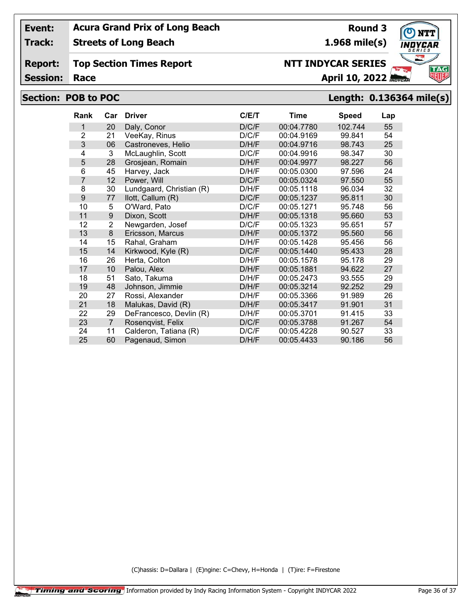**Track: Streets of Long Beach**

**Report: Top Section Times Report**

**Session:**

## **Section: POB to POC Length: 0.136364 mile(s)**

| <b>Rank</b>    | Car            | <b>Driver</b>            | C/E/T | <b>Time</b> | <b>Speed</b> | Lap |
|----------------|----------------|--------------------------|-------|-------------|--------------|-----|
| 1              | 20             | Daly, Conor              | D/C/F | 00:04.7780  | 102.744      | 55  |
| $\overline{2}$ | 21             | VeeKay, Rinus            | D/C/F | 00:04.9169  | 99.841       | 54  |
| 3              | 06             | Castroneves, Helio       | D/H/F | 00:04.9716  | 98.743       | 25  |
| 4              | 3              | McLaughlin, Scott        | D/C/F | 00:04.9916  | 98.347       | 30  |
| 5              | 28             | Grosjean, Romain         | D/H/F | 00:04.9977  | 98.227       | 56  |
| 6              | 45             | Harvey, Jack             | D/H/F | 00:05.0300  | 97.596       | 24  |
| $\overline{7}$ | 12             | Power, Will              | D/C/F | 00:05.0324  | 97.550       | 55  |
| 8              | 30             | Lundgaard, Christian (R) | D/H/F | 00:05.1118  | 96.034       | 32  |
| 9              | 77             | llott, Callum (R)        | D/C/F | 00:05.1237  | 95.811       | 30  |
| 10             | 5              | O'Ward, Pato             | D/C/F | 00:05.1271  | 95.748       | 56  |
| 11             | 9              | Dixon, Scott             | D/H/F | 00:05.1318  | 95.660       | 53  |
| 12             | $\overline{2}$ | Newgarden, Josef         | D/C/F | 00:05.1323  | 95.651       | 57  |
| 13             | 8              | Ericsson, Marcus         | D/H/F | 00:05.1372  | 95.560       | 56  |
| 14             | 15             | Rahal, Graham            | D/H/F | 00:05.1428  | 95.456       | 56  |
| 15             | 14             | Kirkwood, Kyle (R)       | D/C/F | 00:05.1440  | 95.433       | 28  |
| 16             | 26             | Herta, Colton            | D/H/F | 00:05.1578  | 95.178       | 29  |
| 17             | 10             | Palou, Alex              | D/H/F | 00:05.1881  | 94.622       | 27  |
| 18             | 51             | Sato, Takuma             | D/H/F | 00:05.2473  | 93.555       | 29  |
| 19             | 48             | Johnson, Jimmie          | D/H/F | 00:05.3214  | 92.252       | 29  |
| 20             | 27             | Rossi, Alexander         | D/H/F | 00:05.3366  | 91.989       | 26  |
| 21             | 18             | Malukas, David (R)       | D/H/F | 00:05.3417  | 91.901       | 31  |
| 22             | 29             | DeFrancesco, Devlin (R)  | D/H/F | 00:05.3701  | 91.415       | 33  |
| 23             | $\overline{7}$ | Rosenqvist, Felix        | D/C/F | 00:05.3788  | 91.267       | 54  |
| 24             | 11             | Calderon, Tatiana (R)    | D/C/F | 00:05.4228  | 90.527       | 33  |
| 25             | 60             | Pagenaud, Simon          | D/H/F | 00:05.4433  | 90.186       | 56  |

(C)hassis: D=Dallara | (E)ngine: C=Chevy, H=Honda | (T)ire: F=Firestone





**1.968 mile(s)**

**NTT INDYCAR SERIES**

**Round 3**

**Race April 10, 2022 April 10, 2022**